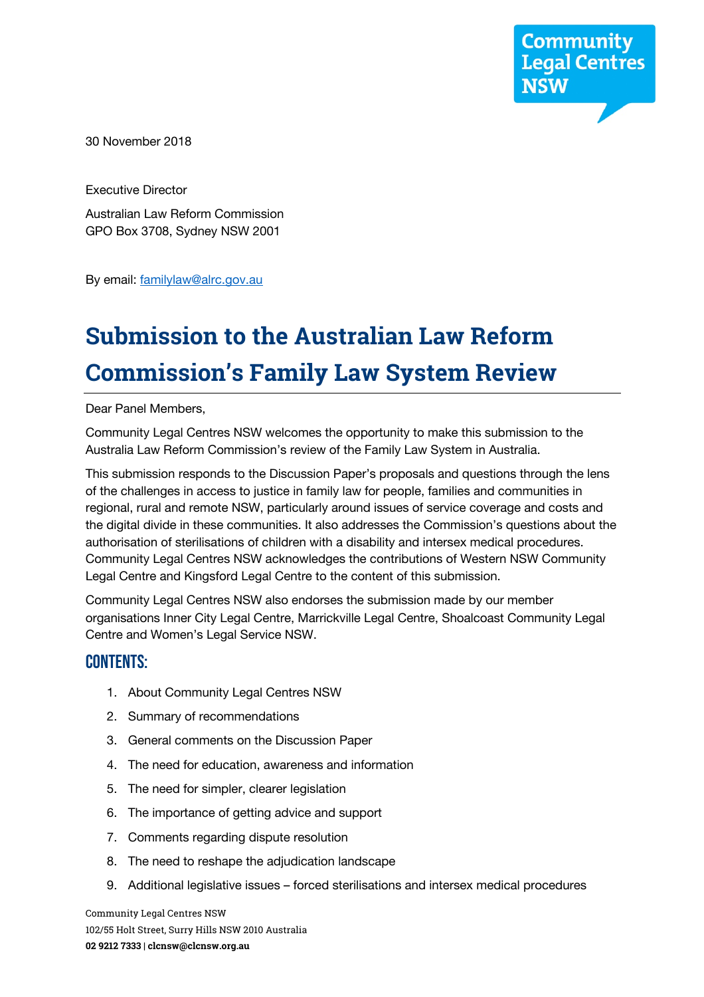**Community**<br>**Legal Centres NSW** 

30 November 2018

Executive Director

Australian Law Reform Commission GPO Box 3708, Sydney NSW 2001

By email: familylaw@alrc.gov.au

# **Submission to the Australian Law Reform Commission's Family Law System Review**

Dear Panel Members,

Community Legal Centres NSW welcomes the opportunity to make this submission to the Australia Law Reform Commission's review of the Family Law System in Australia.

This submission responds to the Discussion Paper's proposals and questions through the lens of the challenges in access to justice in family law for people, families and communities in regional, rural and remote NSW, particularly around issues of service coverage and costs and the digital divide in these communities. It also addresses the Commission's questions about the authorisation of sterilisations of children with a disability and intersex medical procedures. Community Legal Centres NSW acknowledges the contributions of Western NSW Community Legal Centre and Kingsford Legal Centre to the content of this submission.

Community Legal Centres NSW also endorses the submission made by our member organisations Inner City Legal Centre, Marrickville Legal Centre, Shoalcoast Community Legal Centre and Women's Legal Service NSW.

#### CONTENTS:

- 1. About Community Legal Centres NSW
- 2. Summary of recommendations
- 3. General comments on the Discussion Paper
- 4. The need for education, awareness and information
- 5. The need for simpler, clearer legislation
- 6. The importance of getting advice and support
- 7. Comments regarding dispute resolution
- 8. The need to reshape the adjudication landscape
- 9. Additional legislative issues forced sterilisations and intersex medical procedures

Community Legal Centres NSW 102/55 Holt Street, Surry Hills NSW 2010 Australia **02 9212 7333 | clcnsw@clcnsw.org.au**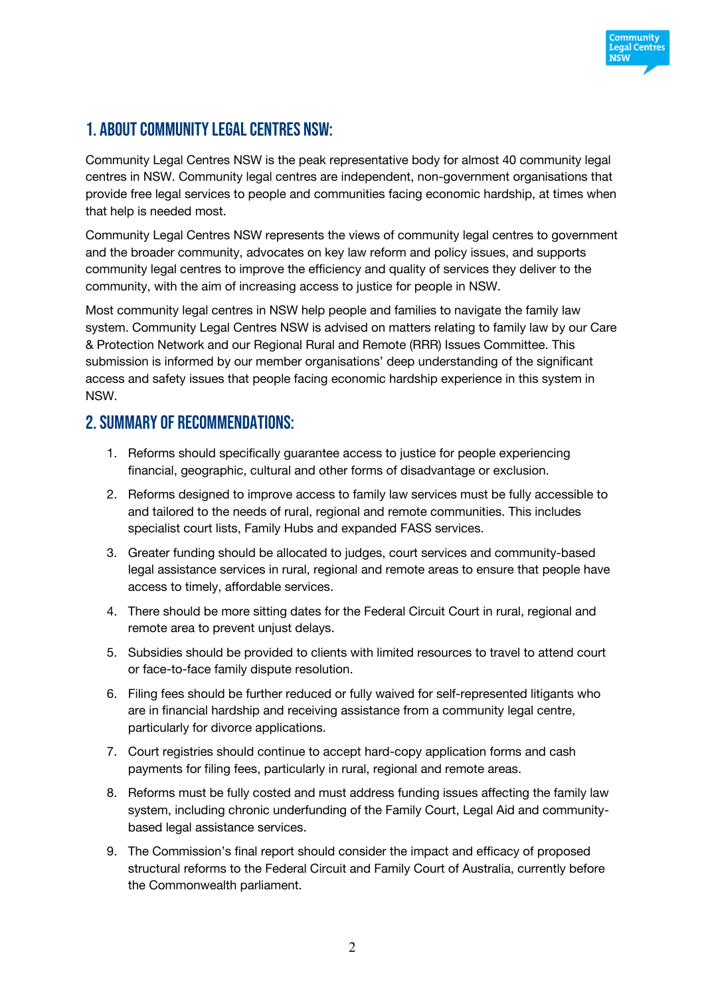

# 1. About Community Legal Centres NSW:

Community Legal Centres NSW is the peak representative body for almost 40 community legal centres in NSW. Community legal centres are independent, non-government organisations that provide free legal services to people and communities facing economic hardship, at times when that help is needed most.

Community Legal Centres NSW represents the views of community legal centres to government and the broader community, advocates on key law reform and policy issues, and supports community legal centres to improve the efficiency and quality of services they deliver to the community, with the aim of increasing access to justice for people in NSW.

Most community legal centres in NSW help people and families to navigate the family law system. Community Legal Centres NSW is advised on matters relating to family law by our Care & Protection Network and our Regional Rural and Remote (RRR) Issues Committee. This submission is informed by our member organisations' deep understanding of the significant access and safety issues that people facing economic hardship experience in this system in NSW.

# 2. Summary of recommendations:

- 1. Reforms should specifically guarantee access to justice for people experiencing financial, geographic, cultural and other forms of disadvantage or exclusion.
- 2. Reforms designed to improve access to family law services must be fully accessible to and tailored to the needs of rural, regional and remote communities. This includes specialist court lists, Family Hubs and expanded FASS services.
- 3. Greater funding should be allocated to judges, court services and community-based legal assistance services in rural, regional and remote areas to ensure that people have access to timely, affordable services.
- 4. There should be more sitting dates for the Federal Circuit Court in rural, regional and remote area to prevent unjust delays.
- 5. Subsidies should be provided to clients with limited resources to travel to attend court or face-to-face family dispute resolution.
- 6. Filing fees should be further reduced or fully waived for self-represented litigants who are in financial hardship and receiving assistance from a community legal centre, particularly for divorce applications.
- 7. Court registries should continue to accept hard-copy application forms and cash payments for filing fees, particularly in rural, regional and remote areas.
- 8. Reforms must be fully costed and must address funding issues affecting the family law system, including chronic underfunding of the Family Court, Legal Aid and communitybased legal assistance services.
- 9. The Commission's final report should consider the impact and efficacy of proposed structural reforms to the Federal Circuit and Family Court of Australia, currently before the Commonwealth parliament.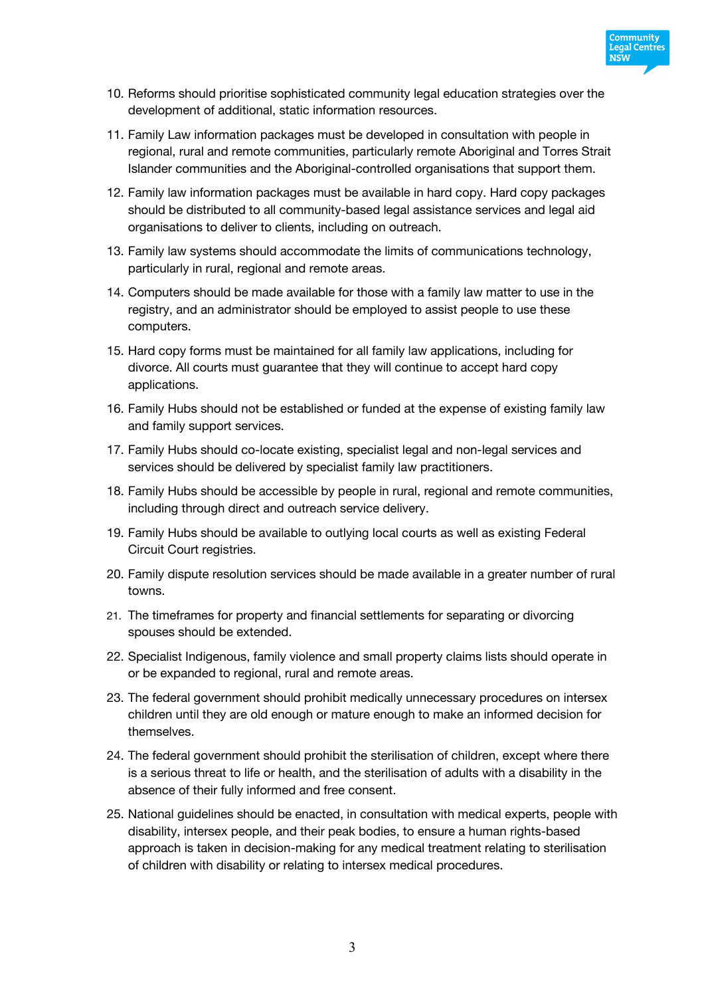

- 10. Reforms should prioritise sophisticated community legal education strategies over the development of additional, static information resources.
- 11. Family Law information packages must be developed in consultation with people in regional, rural and remote communities, particularly remote Aboriginal and Torres Strait Islander communities and the Aboriginal-controlled organisations that support them.
- 12. Family law information packages must be available in hard copy. Hard copy packages should be distributed to all community-based legal assistance services and legal aid organisations to deliver to clients, including on outreach.
- 13. Family law systems should accommodate the limits of communications technology, particularly in rural, regional and remote areas.
- 14. Computers should be made available for those with a family law matter to use in the registry, and an administrator should be employed to assist people to use these computers.
- 15. Hard copy forms must be maintained for all family law applications, including for divorce. All courts must guarantee that they will continue to accept hard copy applications.
- 16. Family Hubs should not be established or funded at the expense of existing family law and family support services.
- 17. Family Hubs should co-locate existing, specialist legal and non-legal services and services should be delivered by specialist family law practitioners.
- 18. Family Hubs should be accessible by people in rural, regional and remote communities, including through direct and outreach service delivery.
- 19. Family Hubs should be available to outlying local courts as well as existing Federal Circuit Court registries.
- 20. Family dispute resolution services should be made available in a greater number of rural towns.
- 21. The timeframes for property and financial settlements for separating or divorcing spouses should be extended.
- 22. Specialist Indigenous, family violence and small property claims lists should operate in or be expanded to regional, rural and remote areas.
- 23. The federal government should prohibit medically unnecessary procedures on intersex children until they are old enough or mature enough to make an informed decision for themselves.
- 24. The federal government should prohibit the sterilisation of children, except where there is a serious threat to life or health, and the sterilisation of adults with a disability in the absence of their fully informed and free consent.
- 25. National guidelines should be enacted, in consultation with medical experts, people with disability, intersex people, and their peak bodies, to ensure a human rights-based approach is taken in decision-making for any medical treatment relating to sterilisation of children with disability or relating to intersex medical procedures.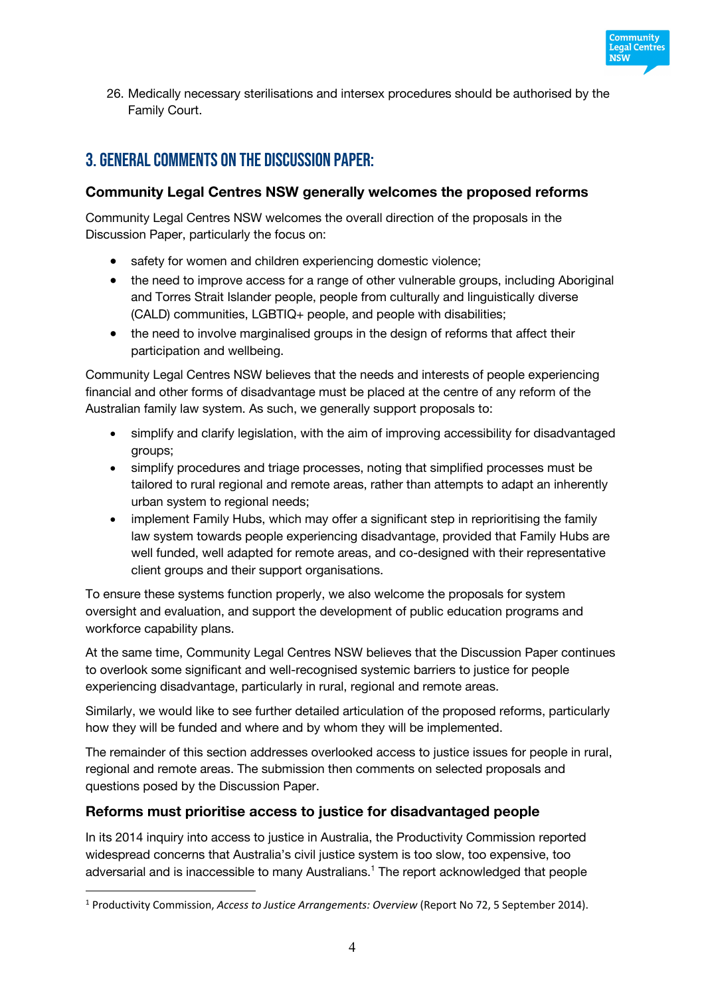

26. Medically necessary sterilisations and intersex procedures should be authorised by the Family Court.

# 3. GENERAL COMMENTS on the discussion paper:

### **Community Legal Centres NSW generally welcomes the proposed reforms**

Community Legal Centres NSW welcomes the overall direction of the proposals in the Discussion Paper, particularly the focus on:

- safety for women and children experiencing domestic violence;
- the need to improve access for a range of other vulnerable groups, including Aboriginal and Torres Strait Islander people, people from culturally and linguistically diverse (CALD) communities, LGBTIQ+ people, and people with disabilities;
- the need to involve marginalised groups in the design of reforms that affect their participation and wellbeing.

Community Legal Centres NSW believes that the needs and interests of people experiencing financial and other forms of disadvantage must be placed at the centre of any reform of the Australian family law system. As such, we generally support proposals to:

- simplify and clarify legislation, with the aim of improving accessibility for disadvantaged groups;
- simplify procedures and triage processes, noting that simplified processes must be tailored to rural regional and remote areas, rather than attempts to adapt an inherently urban system to regional needs;
- implement Family Hubs, which may offer a significant step in reprioritising the family law system towards people experiencing disadvantage, provided that Family Hubs are well funded, well adapted for remote areas, and co-designed with their representative client groups and their support organisations.

To ensure these systems function properly, we also welcome the proposals for system oversight and evaluation, and support the development of public education programs and workforce capability plans.

At the same time, Community Legal Centres NSW believes that the Discussion Paper continues to overlook some significant and well-recognised systemic barriers to justice for people experiencing disadvantage, particularly in rural, regional and remote areas.

Similarly, we would like to see further detailed articulation of the proposed reforms, particularly how they will be funded and where and by whom they will be implemented.

The remainder of this section addresses overlooked access to justice issues for people in rural, regional and remote areas. The submission then comments on selected proposals and questions posed by the Discussion Paper.

#### **Reforms must prioritise access to justice for disadvantaged people**

 $\overline{a}$ 

In its 2014 inquiry into access to justice in Australia, the Productivity Commission reported widespread concerns that Australia's civil justice system is too slow, too expensive, too adversarial and is inaccessible to many Australians.1 The report acknowledged that people

<sup>1</sup> Productivity Commission, *Access to Justice Arrangements: Overview* (Report No 72, 5 September 2014).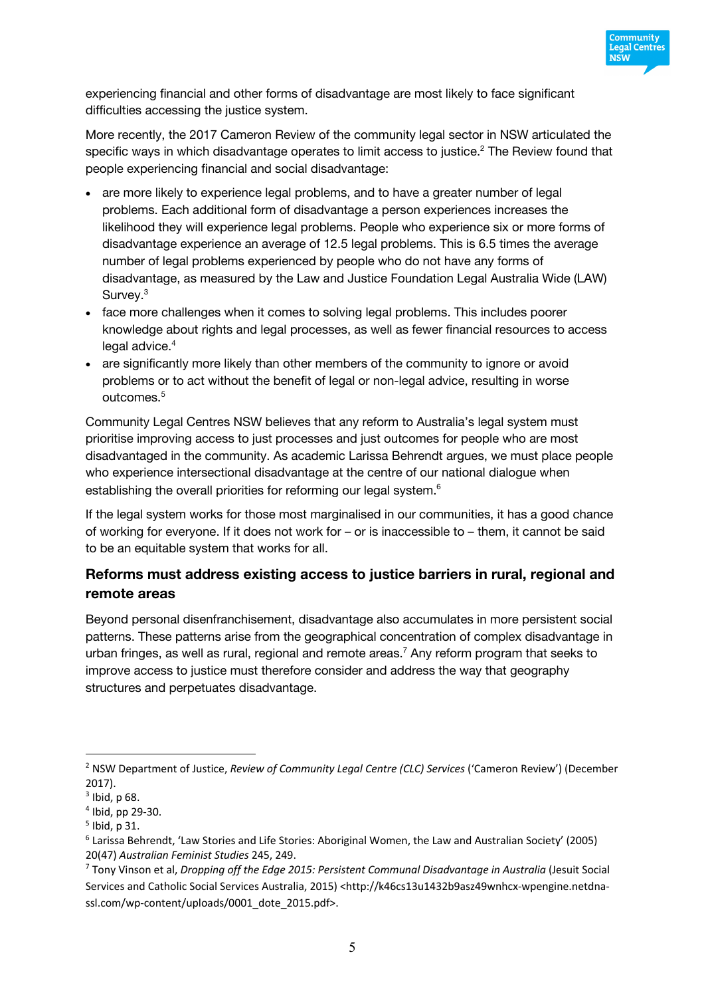

experiencing financial and other forms of disadvantage are most likely to face significant difficulties accessing the justice system.

More recently, the 2017 Cameron Review of the community legal sector in NSW articulated the specific ways in which disadvantage operates to limit access to justice.<sup>2</sup> The Review found that people experiencing financial and social disadvantage:

- are more likely to experience legal problems, and to have a greater number of legal problems. Each additional form of disadvantage a person experiences increases the likelihood they will experience legal problems. People who experience six or more forms of disadvantage experience an average of 12.5 legal problems. This is 6.5 times the average number of legal problems experienced by people who do not have any forms of disadvantage, as measured by the Law and Justice Foundation Legal Australia Wide (LAW) Survey.<sup>3</sup>
- face more challenges when it comes to solving legal problems. This includes poorer knowledge about rights and legal processes, as well as fewer financial resources to access legal advice. 4
- are significantly more likely than other members of the community to ignore or avoid problems or to act without the benefit of legal or non-legal advice, resulting in worse outcomes.5

Community Legal Centres NSW believes that any reform to Australia's legal system must prioritise improving access to just processes and just outcomes for people who are most disadvantaged in the community. As academic Larissa Behrendt argues, we must place people who experience intersectional disadvantage at the centre of our national dialogue when establishing the overall priorities for reforming our legal system.<sup>6</sup>

If the legal system works for those most marginalised in our communities, it has a good chance of working for everyone. If it does not work for – or is inaccessible to – them, it cannot be said to be an equitable system that works for all.

# **Reforms must address existing access to justice barriers in rural, regional and remote areas**

Beyond personal disenfranchisement, disadvantage also accumulates in more persistent social patterns. These patterns arise from the geographical concentration of complex disadvantage in urban fringes, as well as rural, regional and remote areas.<sup>7</sup> Any reform program that seeks to improve access to justice must therefore consider and address the way that geography structures and perpetuates disadvantage.

<sup>2</sup> NSW Department of Justice, *Review of Community Legal Centre (CLC) Services* ('Cameron Review') (December 2017).

 $3$  Ibid, p 68.

 $4$  Ibid, pp 29-30.

 $<sup>5</sup>$  Ibid, p 31.</sup>

<sup>6</sup> Larissa Behrendt, 'Law Stories and Life Stories: Aboriginal Women, the Law and Australian Society' (2005) 20(47) *Australian Feminist Studies* 245, 249.

<sup>7</sup> Tony Vinson et al, *Dropping off the Edge 2015: Persistent Communal Disadvantage in Australia* (Jesuit Social Services and Catholic Social Services Australia, 2015) <http://k46cs13u1432b9asz49wnhcx-wpengine.netdnassl.com/wp-content/uploads/0001\_dote\_2015.pdf>.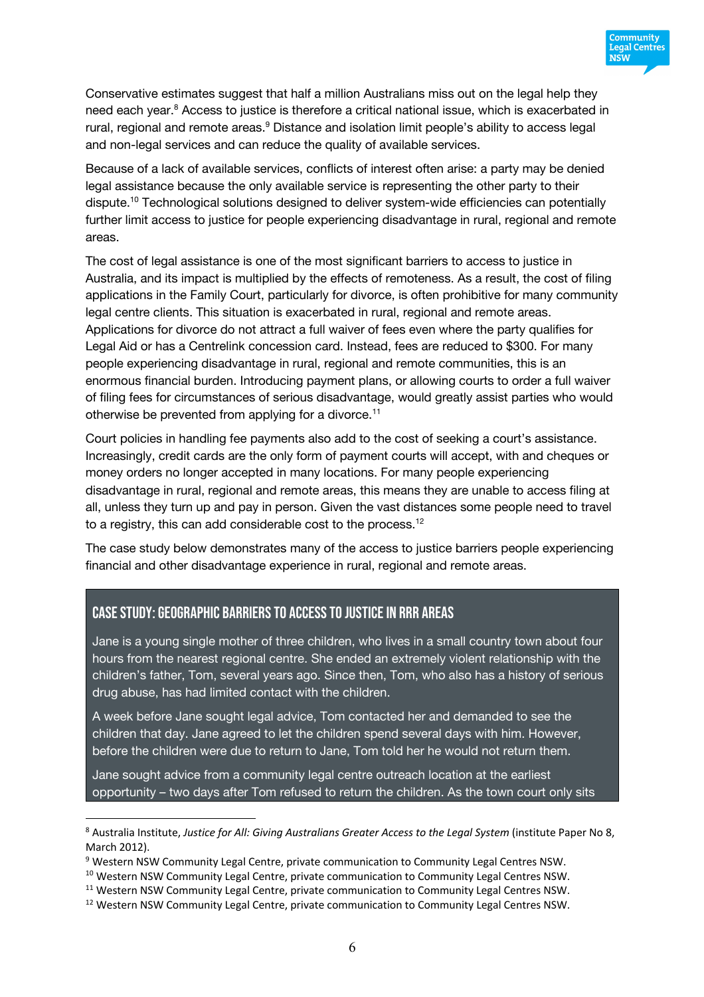

Conservative estimates suggest that half a million Australians miss out on the legal help they need each year.<sup>8</sup> Access to justice is therefore a critical national issue, which is exacerbated in rural, regional and remote areas.<sup>9</sup> Distance and isolation limit people's ability to access legal and non-legal services and can reduce the quality of available services.

Because of a lack of available services, conflicts of interest often arise: a party may be denied legal assistance because the only available service is representing the other party to their dispute. <sup>10</sup> Technological solutions designed to deliver system-wide efficiencies can potentially further limit access to justice for people experiencing disadvantage in rural, regional and remote areas.

The cost of legal assistance is one of the most significant barriers to access to justice in Australia, and its impact is multiplied by the effects of remoteness. As a result, the cost of filing applications in the Family Court, particularly for divorce, is often prohibitive for many community legal centre clients. This situation is exacerbated in rural, regional and remote areas. Applications for divorce do not attract a full waiver of fees even where the party qualifies for Legal Aid or has a Centrelink concession card. Instead, fees are reduced to \$300. For many people experiencing disadvantage in rural, regional and remote communities, this is an enormous financial burden. Introducing payment plans, or allowing courts to order a full waiver of filing fees for circumstances of serious disadvantage, would greatly assist parties who would otherwise be prevented from applying for a divorce.<sup>11</sup>

Court policies in handling fee payments also add to the cost of seeking a court's assistance. Increasingly, credit cards are the only form of payment courts will accept, with and cheques or money orders no longer accepted in many locations. For many people experiencing disadvantage in rural, regional and remote areas, this means they are unable to access filing at all, unless they turn up and pay in person. Given the vast distances some people need to travel to a registry, this can add considerable cost to the process. $12$ 

The case study below demonstrates many of the access to justice barriers people experiencing financial and other disadvantage experience in rural, regional and remote areas.

#### Case study: Geographic barriers to access to justice in RRR areas

 $\overline{a}$ 

Jane is a young single mother of three children, who lives in a small country town about four hours from the nearest regional centre. She ended an extremely violent relationship with the children's father, Tom, several years ago. Since then, Tom, who also has a history of serious drug abuse, has had limited contact with the children.

A week before Jane sought legal advice, Tom contacted her and demanded to see the children that day. Jane agreed to let the children spend several days with him. However, before the children were due to return to Jane, Tom told her he would not return them.

Jane sought advice from a community legal centre outreach location at the earliest opportunity – two days after Tom refused to return the children. As the town court only sits

<sup>8</sup> Australia Institute, *Justice for All: Giving Australians Greater Access to the Legal System* (institute Paper No 8, March 2012).

<sup>9</sup> Western NSW Community Legal Centre, private communication to Community Legal Centres NSW.

<sup>&</sup>lt;sup>10</sup> Western NSW Community Legal Centre, private communication to Community Legal Centres NSW.

<sup>&</sup>lt;sup>11</sup> Western NSW Community Legal Centre, private communication to Community Legal Centres NSW.

<sup>&</sup>lt;sup>12</sup> Western NSW Community Legal Centre, private communication to Community Legal Centres NSW.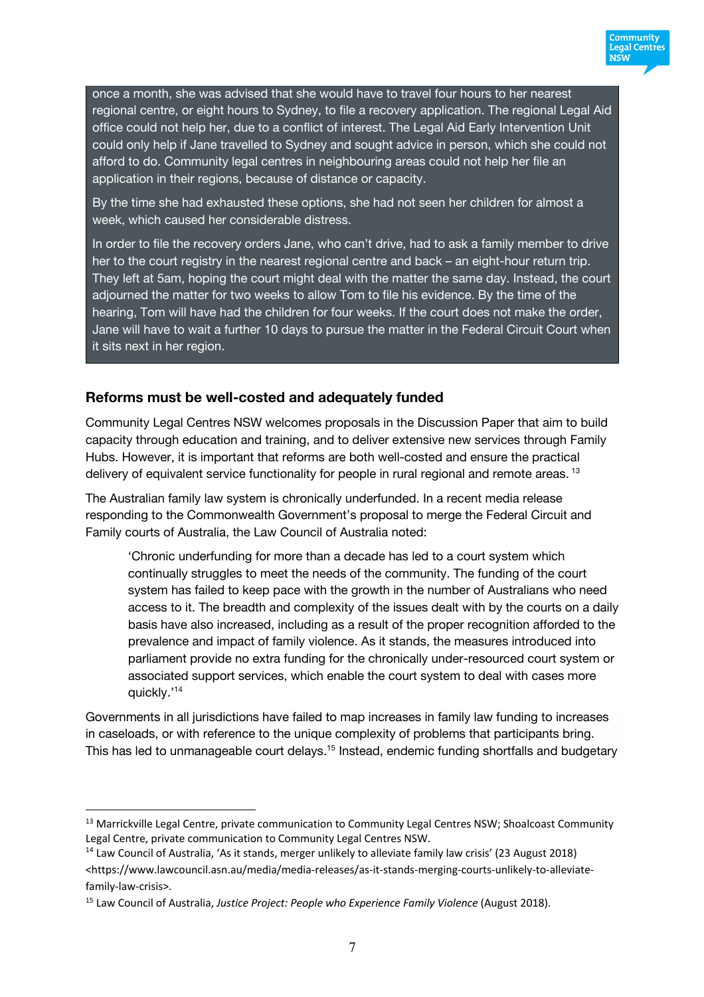

Community **Legal Centres NSW** 

By the time she had exhausted these options, she had not seen her children for almost a week, which caused her considerable distress.

In order to file the recovery orders Jane, who can't drive, had to ask a family member to drive her to the court registry in the nearest regional centre and back – an eight-hour return trip. They left at 5am, hoping the court might deal with the matter the same day. Instead, the court adjourned the matter for two weeks to allow Tom to file his evidence. By the time of the hearing, Tom will have had the children for four weeks. If the court does not make the order, Jane will have to wait a further 10 days to pursue the matter in the Federal Circuit Court when it sits next in her region.

#### **Reforms must be well-costed and adequately funded**

Community Legal Centres NSW welcomes proposals in the Discussion Paper that aim to build capacity through education and training, and to deliver extensive new services through Family Hubs. However, it is important that reforms are both well-costed and ensure the practical delivery of equivalent service functionality for people in rural regional and remote areas.<sup>13</sup>

The Australian family law system is chronically underfunded. In a recent media release responding to the Commonwealth Government's proposal to merge the Federal Circuit and Family courts of Australia, the Law Council of Australia noted:

'Chronic underfunding for more than a decade has led to a court system which continually struggles to meet the needs of the community. The funding of the court system has failed to keep pace with the growth in the number of Australians who need access to it. The breadth and complexity of the issues dealt with by the courts on a daily basis have also increased, including as a result of the proper recognition afforded to the prevalence and impact of family violence. As it stands, the measures introduced into parliament provide no extra funding for the chronically under-resourced court system or associated support services, which enable the court system to deal with cases more quickly.'14

Governments in all jurisdictions have failed to map increases in family law funding to increases in caseloads, or with reference to the unique complexity of problems that participants bring. This has led to unmanageable court delays.<sup>15</sup> Instead, endemic funding shortfalls and budgetary

<sup>&</sup>lt;sup>13</sup> Marrickville Legal Centre, private communication to Community Legal Centres NSW; Shoalcoast Community Legal Centre, private communication to Community Legal Centres NSW.

<sup>&</sup>lt;sup>14</sup> Law Council of Australia, 'As it stands, merger unlikely to alleviate family law crisis' (23 August 2018) <https://www.lawcouncil.asn.au/media/media-releases/as-it-stands-merging-courts-unlikely-to-alleviatefamily-law-crisis>.

<sup>15</sup> Law Council of Australia, *Justice Project: People who Experience Family Violence* (August 2018).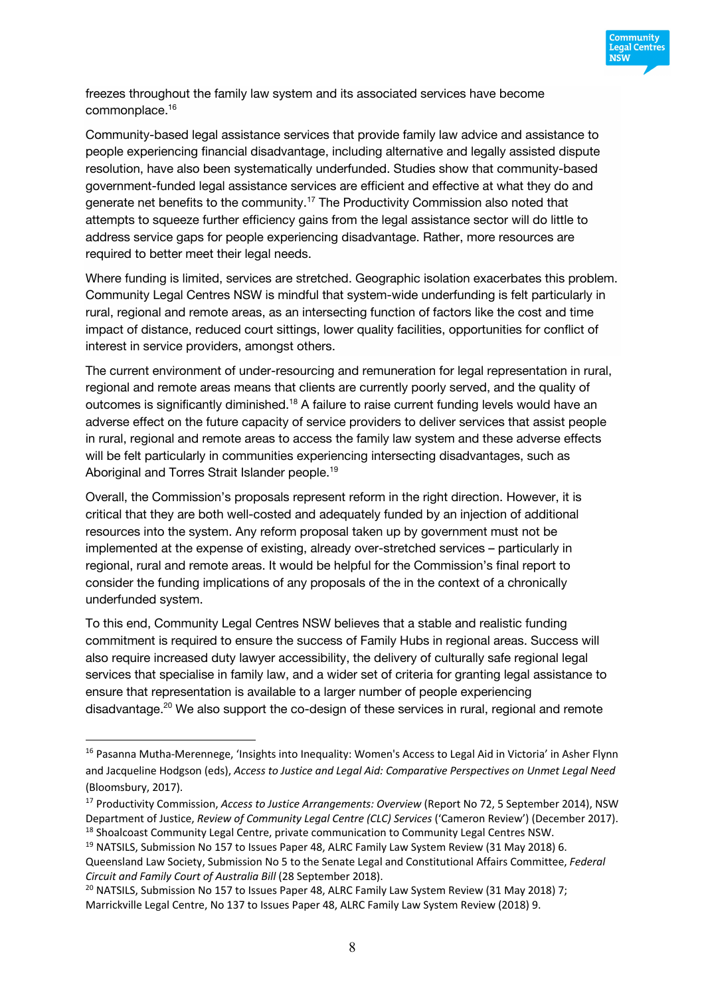

freezes throughout the family law system and its associated services have become commonplace.16

Community-based legal assistance services that provide family law advice and assistance to people experiencing financial disadvantage, including alternative and legally assisted dispute resolution, have also been systematically underfunded. Studies show that community-based government-funded legal assistance services are efficient and effective at what they do and generate net benefits to the community.17 The Productivity Commission also noted that attempts to squeeze further efficiency gains from the legal assistance sector will do little to address service gaps for people experiencing disadvantage. Rather, more resources are required to better meet their legal needs.

Where funding is limited, services are stretched. Geographic isolation exacerbates this problem. Community Legal Centres NSW is mindful that system-wide underfunding is felt particularly in rural, regional and remote areas, as an intersecting function of factors like the cost and time impact of distance, reduced court sittings, lower quality facilities, opportunities for conflict of interest in service providers, amongst others.

The current environment of under-resourcing and remuneration for legal representation in rural, regional and remote areas means that clients are currently poorly served, and the quality of outcomes is significantly diminished.<sup>18</sup> A failure to raise current funding levels would have an adverse effect on the future capacity of service providers to deliver services that assist people in rural, regional and remote areas to access the family law system and these adverse effects will be felt particularly in communities experiencing intersecting disadvantages, such as Aboriginal and Torres Strait Islander people.<sup>19</sup>

Overall, the Commission's proposals represent reform in the right direction. However, it is critical that they are both well-costed and adequately funded by an injection of additional resources into the system. Any reform proposal taken up by government must not be implemented at the expense of existing, already over-stretched services – particularly in regional, rural and remote areas. It would be helpful for the Commission's final report to consider the funding implications of any proposals of the in the context of a chronically underfunded system.

To this end, Community Legal Centres NSW believes that a stable and realistic funding commitment is required to ensure the success of Family Hubs in regional areas. Success will also require increased duty lawyer accessibility, the delivery of culturally safe regional legal services that specialise in family law, and a wider set of criteria for granting legal assistance to ensure that representation is available to a larger number of people experiencing disadvantage.<sup>20</sup> We also support the co-design of these services in rural, regional and remote

<sup>&</sup>lt;sup>16</sup> Pasanna Mutha-Merennege, 'Insights into Inequality: Women's Access to Legal Aid in Victoria' in Asher Flynn and Jacqueline Hodgson (eds), *Access to Justice and Legal Aid: Comparative Perspectives on Unmet Legal Need* (Bloomsbury, 2017).

<sup>17</sup> Productivity Commission, *Access to Justice Arrangements: Overview* (Report No 72, 5 September 2014), NSW Department of Justice, *Review of Community Legal Centre (CLC) Services* ('Cameron Review') (December 2017). <sup>18</sup> Shoalcoast Community Legal Centre, private communication to Community Legal Centres NSW.

<sup>&</sup>lt;sup>19</sup> NATSILS, Submission No 157 to Issues Paper 48, ALRC Family Law System Review (31 May 2018) 6.

Queensland Law Society, Submission No 5 to the Senate Legal and Constitutional Affairs Committee, *Federal Circuit and Family Court of Australia Bill* (28 September 2018).

<sup>&</sup>lt;sup>20</sup> NATSILS, Submission No 157 to Issues Paper 48, ALRC Family Law System Review (31 May 2018) 7: Marrickville Legal Centre, No 137 to Issues Paper 48, ALRC Family Law System Review (2018) 9.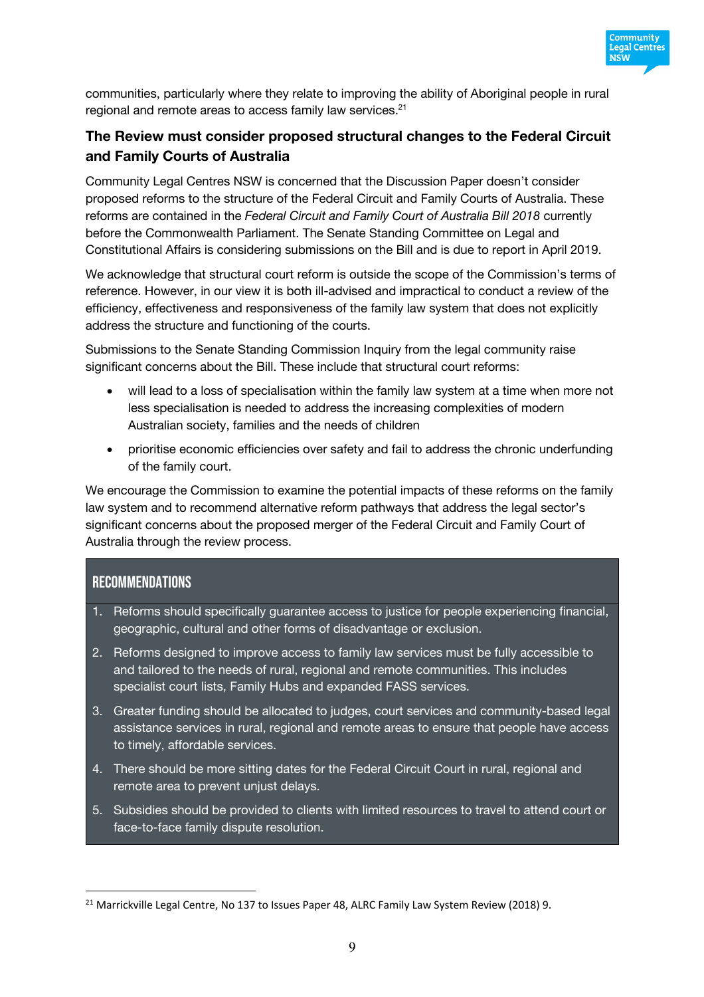

communities, particularly where they relate to improving the ability of Aboriginal people in rural regional and remote areas to access family law services.<sup>21</sup>

# **The Review must consider proposed structural changes to the Federal Circuit and Family Courts of Australia**

Community Legal Centres NSW is concerned that the Discussion Paper doesn't consider proposed reforms to the structure of the Federal Circuit and Family Courts of Australia. These reforms are contained in the *Federal Circuit and Family Court of Australia Bill 2018* currently before the Commonwealth Parliament. The Senate Standing Committee on Legal and Constitutional Affairs is considering submissions on the Bill and is due to report in April 2019.

We acknowledge that structural court reform is outside the scope of the Commission's terms of reference. However, in our view it is both ill-advised and impractical to conduct a review of the efficiency, effectiveness and responsiveness of the family law system that does not explicitly address the structure and functioning of the courts.

Submissions to the Senate Standing Commission Inquiry from the legal community raise significant concerns about the Bill. These include that structural court reforms:

- will lead to a loss of specialisation within the family law system at a time when more not less specialisation is needed to address the increasing complexities of modern Australian society, families and the needs of children
- prioritise economic efficiencies over safety and fail to address the chronic underfunding of the family court.

We encourage the Commission to examine the potential impacts of these reforms on the family law system and to recommend alternative reform pathways that address the legal sector's significant concerns about the proposed merger of the Federal Circuit and Family Court of Australia through the review process.

### **RECOMMENDATIONS**

- 1. Reforms should specifically guarantee access to justice for people experiencing financial, geographic, cultural and other forms of disadvantage or exclusion.
- 2. Reforms designed to improve access to family law services must be fully accessible to and tailored to the needs of rural, regional and remote communities. This includes specialist court lists, Family Hubs and expanded FASS services.
- 3. Greater funding should be allocated to judges, court services and community-based legal assistance services in rural, regional and remote areas to ensure that people have access to timely, affordable services.
- 4. There should be more sitting dates for the Federal Circuit Court in rural, regional and remote area to prevent unjust delays.
- 5. Subsidies should be provided to clients with limited resources to travel to attend court or face-to-face family dispute resolution.

<sup>&</sup>lt;sup>21</sup> Marrickville Legal Centre, No 137 to Issues Paper 48, ALRC Family Law System Review (2018) 9.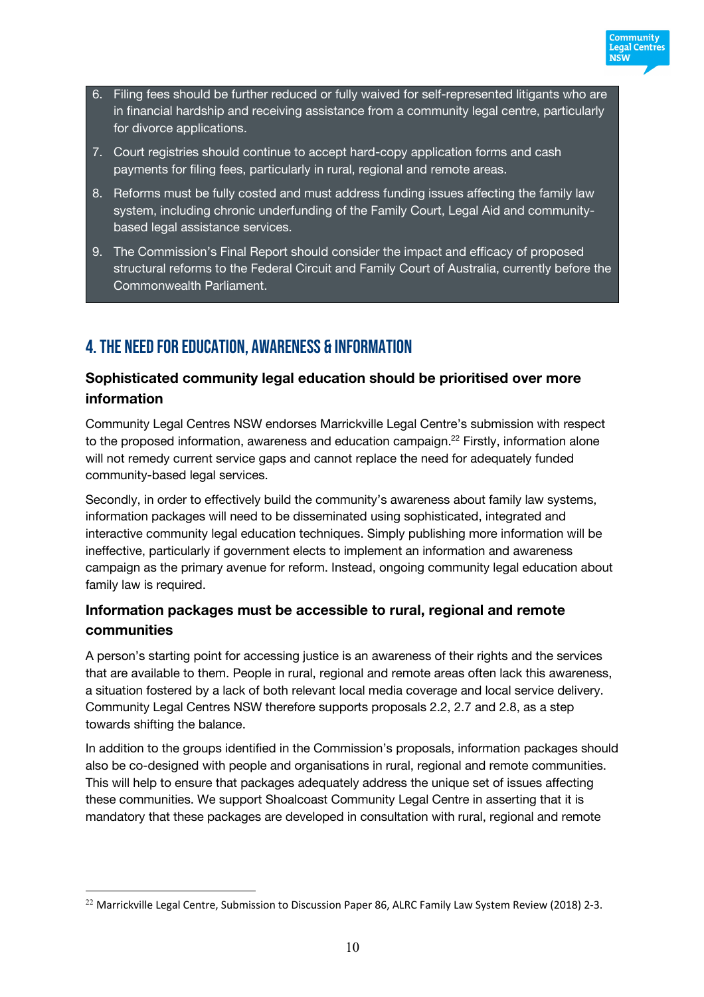

- 6. Filing fees should be further reduced or fully waived for self-represented litigants who are in financial hardship and receiving assistance from a community legal centre, particularly for divorce applications.
- 7. Court registries should continue to accept hard-copy application forms and cash payments for filing fees, particularly in rural, regional and remote areas.
- 8. Reforms must be fully costed and must address funding issues affecting the family law system, including chronic underfunding of the Family Court, Legal Aid and communitybased legal assistance services.
- 9. The Commission's Final Report should consider the impact and efficacy of proposed structural reforms to the Federal Circuit and Family Court of Australia, currently before the Commonwealth Parliament.

# 4. The need for EDUCATION, AWARENESS & INFORMATION

# **Sophisticated community legal education should be prioritised over more information**

Community Legal Centres NSW endorses Marrickville Legal Centre's submission with respect to the proposed information, awareness and education campaign.<sup>22</sup> Firstly, information alone will not remedy current service gaps and cannot replace the need for adequately funded community-based legal services.

Secondly, in order to effectively build the community's awareness about family law systems, information packages will need to be disseminated using sophisticated, integrated and interactive community legal education techniques. Simply publishing more information will be ineffective, particularly if government elects to implement an information and awareness campaign as the primary avenue for reform. Instead, ongoing community legal education about family law is required.

# **Information packages must be accessible to rural, regional and remote communities**

A person's starting point for accessing justice is an awareness of their rights and the services that are available to them. People in rural, regional and remote areas often lack this awareness, a situation fostered by a lack of both relevant local media coverage and local service delivery. Community Legal Centres NSW therefore supports proposals 2.2, 2.7 and 2.8, as a step towards shifting the balance.

In addition to the groups identified in the Commission's proposals, information packages should also be co-designed with people and organisations in rural, regional and remote communities. This will help to ensure that packages adequately address the unique set of issues affecting these communities. We support Shoalcoast Community Legal Centre in asserting that it is mandatory that these packages are developed in consultation with rural, regional and remote

<sup>&</sup>lt;sup>22</sup> Marrickville Legal Centre, Submission to Discussion Paper 86, ALRC Family Law System Review (2018) 2-3.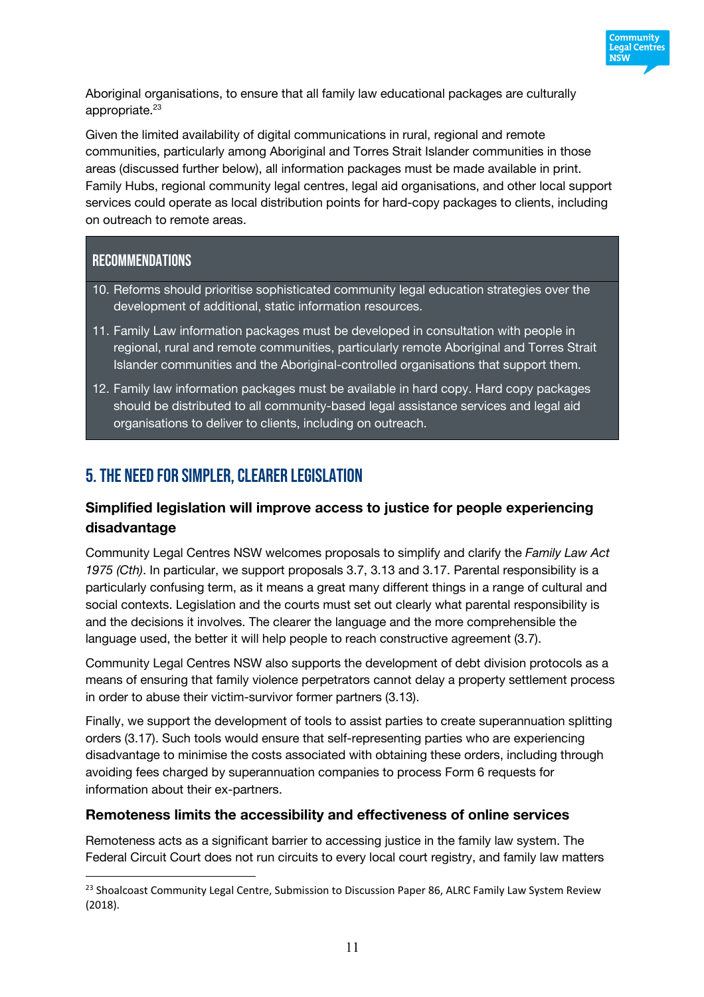

Aboriginal organisations, to ensure that all family law educational packages are culturally appropriate.<sup>23</sup>

Given the limited availability of digital communications in rural, regional and remote communities, particularly among Aboriginal and Torres Strait Islander communities in those areas (discussed further below), all information packages must be made available in print. Family Hubs, regional community legal centres, legal aid organisations, and other local support services could operate as local distribution points for hard-copy packages to clients, including on outreach to remote areas.

# Recommendations

 $\overline{a}$ 

- 10. Reforms should prioritise sophisticated community legal education strategies over the development of additional, static information resources.
- 11. Family Law information packages must be developed in consultation with people in regional, rural and remote communities, particularly remote Aboriginal and Torres Strait Islander communities and the Aboriginal-controlled organisations that support them.
- 12. Family law information packages must be available in hard copy. Hard copy packages should be distributed to all community-based legal assistance services and legal aid organisations to deliver to clients, including on outreach.

# 5. The need for SIMPLER, CLEARER LEGISLATION

# **Simplified legislation will improve access to justice for people experiencing disadvantage**

Community Legal Centres NSW welcomes proposals to simplify and clarify the *Family Law Act 1975 (Cth)*. In particular, we support proposals 3.7, 3.13 and 3.17. Parental responsibility is a particularly confusing term, as it means a great many different things in a range of cultural and social contexts. Legislation and the courts must set out clearly what parental responsibility is and the decisions it involves. The clearer the language and the more comprehensible the language used, the better it will help people to reach constructive agreement (3.7).

Community Legal Centres NSW also supports the development of debt division protocols as a means of ensuring that family violence perpetrators cannot delay a property settlement process in order to abuse their victim-survivor former partners (3.13).

Finally, we support the development of tools to assist parties to create superannuation splitting orders (3.17). Such tools would ensure that self-representing parties who are experiencing disadvantage to minimise the costs associated with obtaining these orders, including through avoiding fees charged by superannuation companies to process Form 6 requests for information about their ex-partners.

#### **Remoteness limits the accessibility and effectiveness of online services**

Remoteness acts as a significant barrier to accessing justice in the family law system. The Federal Circuit Court does not run circuits to every local court registry, and family law matters

<sup>&</sup>lt;sup>23</sup> Shoalcoast Community Legal Centre, Submission to Discussion Paper 86, ALRC Family Law System Review (2018).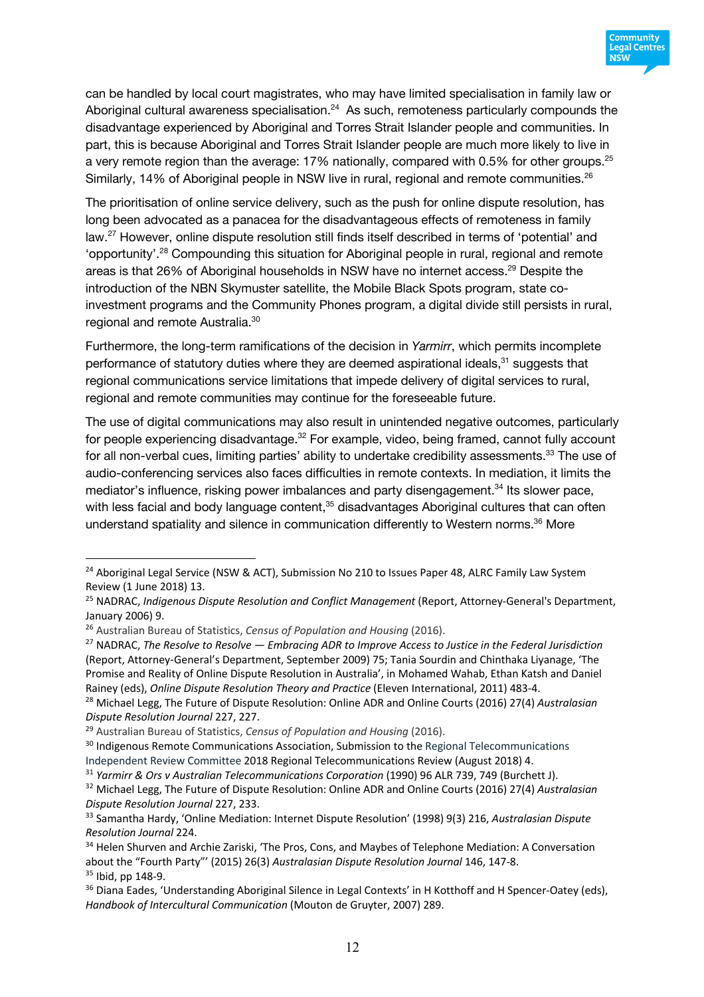

can be handled by local court magistrates, who may have limited specialisation in family law or Aboriginal cultural awareness specialisation. $24$  As such, remoteness particularly compounds the disadvantage experienced by Aboriginal and Torres Strait Islander people and communities. In part, this is because Aboriginal and Torres Strait Islander people are much more likely to live in a very remote region than the average: 17% nationally, compared with 0.5% for other groups.<sup>25</sup> Similarly, 14% of Aboriginal people in NSW live in rural, regional and remote communities.<sup>26</sup>

The prioritisation of online service delivery, such as the push for online dispute resolution, has long been advocated as a panacea for the disadvantageous effects of remoteness in family law.27 However, online dispute resolution still finds itself described in terms of 'potential' and 'opportunity'. <sup>28</sup> Compounding this situation for Aboriginal people in rural, regional and remote areas is that 26% of Aboriginal households in NSW have no internet access.<sup>29</sup> Despite the introduction of the NBN Skymuster satellite, the Mobile Black Spots program, state coinvestment programs and the Community Phones program, a digital divide still persists in rural, regional and remote Australia.30

Furthermore, the long-term ramifications of the decision in *Yarmirr*, which permits incomplete performance of statutory duties where they are deemed aspirational ideals,<sup>31</sup> suggests that regional communications service limitations that impede delivery of digital services to rural, regional and remote communities may continue for the foreseeable future.

The use of digital communications may also result in unintended negative outcomes, particularly for people experiencing disadvantage.<sup>32</sup> For example, video, being framed, cannot fully account for all non-verbal cues, limiting parties' ability to undertake credibility assessments.<sup>33</sup> The use of audio-conferencing services also faces difficulties in remote contexts. In mediation, it limits the mediator's influence, risking power imbalances and party disengagement.<sup>34</sup> Its slower pace, with less facial and body language content,<sup>35</sup> disadvantages Aboriginal cultures that can often understand spatiality and silence in communication differently to Western norms.<sup>36</sup> More

<sup>&</sup>lt;sup>24</sup> Aboriginal Legal Service (NSW & ACT), Submission No 210 to Issues Paper 48, ALRC Family Law System Review (1 June 2018) 13.

<sup>25</sup> NADRAC, *Indigenous Dispute Resolution and Conflict Management* (Report, Attorney-General's Department, January 2006) 9.

<sup>26</sup> Australian Bureau of Statistics, *Census of Population and Housing* (2016).

<sup>27</sup> NADRAC, *The Resolve to Resolve — Embracing ADR to Improve Access to Justice in the Federal Jurisdiction* (Report, Attorney-General's Department, September 2009) 75; Tania Sourdin and Chinthaka Liyanage, 'The Promise and Reality of Online Dispute Resolution in Australia', in Mohamed Wahab, Ethan Katsh and Daniel Rainey (eds), *Online Dispute Resolution Theory and Practice* (Eleven International, 2011) 483-4.

<sup>28</sup> Michael Legg, The Future of Dispute Resolution: Online ADR and Online Courts (2016) 27(4) *Australasian Dispute Resolution Journal* 227, 227.

<sup>29</sup> Australian Bureau of Statistics, *Census of Population and Housing* (2016).

<sup>&</sup>lt;sup>30</sup> Indigenous Remote Communications Association, Submission to the Regional Telecommunications Independent Review Committee 2018 Regional Telecommunications Review (August 2018) 4.

<sup>31</sup> *Yarmirr & Ors v Australian Telecommunications Corporation* (1990) 96 ALR 739, 749 (Burchett J).

<sup>32</sup> Michael Legg, The Future of Dispute Resolution: Online ADR and Online Courts (2016) 27(4) *Australasian Dispute Resolution Journal* 227, 233.

<sup>33</sup> Samantha Hardy, 'Online Mediation: Internet Dispute Resolution' (1998) 9(3) 216, *Australasian Dispute Resolution Journal* 224.

<sup>&</sup>lt;sup>34</sup> Helen Shurven and Archie Zariski, 'The Pros, Cons, and Maybes of Telephone Mediation: A Conversation about the "Fourth Party"' (2015) 26(3) *Australasian Dispute Resolution Journal* 146, 147-8. <sup>35</sup> Ibid, pp 148-9.

<sup>&</sup>lt;sup>36</sup> Diana Eades, 'Understanding Aboriginal Silence in Legal Contexts' in H Kotthoff and H Spencer-Oatey (eds), *Handbook of Intercultural Communication* (Mouton de Gruyter, 2007) 289.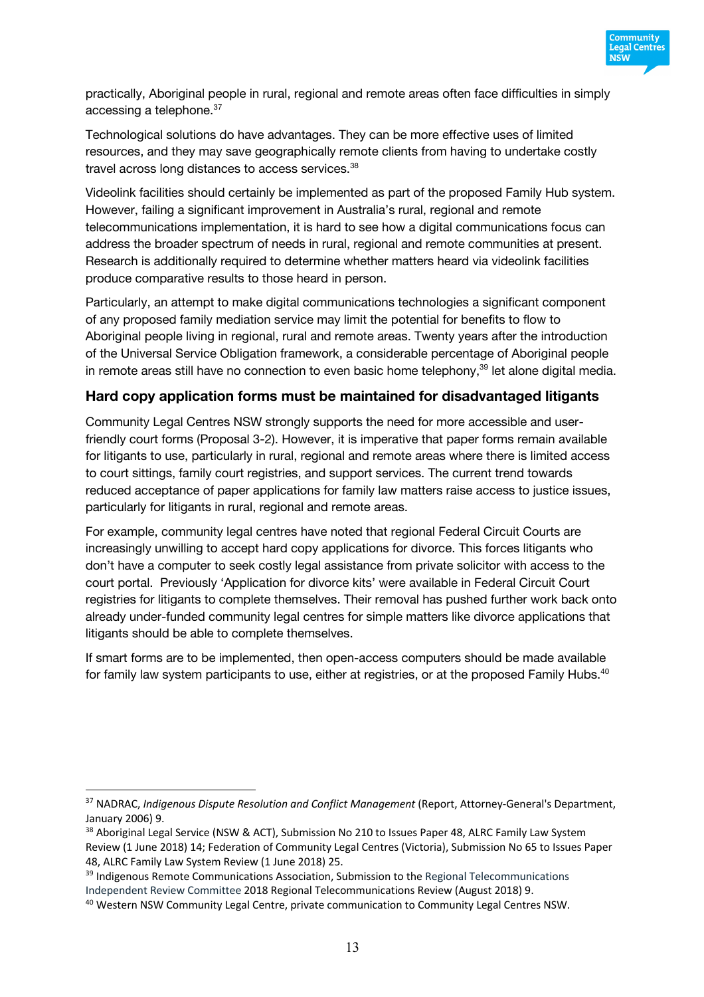

practically, Aboriginal people in rural, regional and remote areas often face difficulties in simply accessing a telephone.<sup>37</sup>

Technological solutions do have advantages. They can be more effective uses of limited resources, and they may save geographically remote clients from having to undertake costly travel across long distances to access services.<sup>38</sup>

Videolink facilities should certainly be implemented as part of the proposed Family Hub system. However, failing a significant improvement in Australia's rural, regional and remote telecommunications implementation, it is hard to see how a digital communications focus can address the broader spectrum of needs in rural, regional and remote communities at present. Research is additionally required to determine whether matters heard via videolink facilities produce comparative results to those heard in person.

Particularly, an attempt to make digital communications technologies a significant component of any proposed family mediation service may limit the potential for benefits to flow to Aboriginal people living in regional, rural and remote areas. Twenty years after the introduction of the Universal Service Obligation framework, a considerable percentage of Aboriginal people in remote areas still have no connection to even basic home telephony.<sup>39</sup> let alone digital media.

#### **Hard copy application forms must be maintained for disadvantaged litigants**

Community Legal Centres NSW strongly supports the need for more accessible and userfriendly court forms (Proposal 3-2). However, it is imperative that paper forms remain available for litigants to use, particularly in rural, regional and remote areas where there is limited access to court sittings, family court registries, and support services. The current trend towards reduced acceptance of paper applications for family law matters raise access to justice issues, particularly for litigants in rural, regional and remote areas.

For example, community legal centres have noted that regional Federal Circuit Courts are increasingly unwilling to accept hard copy applications for divorce. This forces litigants who don't have a computer to seek costly legal assistance from private solicitor with access to the court portal. Previously 'Application for divorce kits' were available in Federal Circuit Court registries for litigants to complete themselves. Their removal has pushed further work back onto already under-funded community legal centres for simple matters like divorce applications that litigants should be able to complete themselves.

If smart forms are to be implemented, then open-access computers should be made available for family law system participants to use, either at registries, or at the proposed Family Hubs.<sup>40</sup>

<sup>37</sup> NADRAC, *Indigenous Dispute Resolution and Conflict Management* (Report, Attorney-General's Department, January 2006) 9.

<sup>&</sup>lt;sup>38</sup> Aboriginal Legal Service (NSW & ACT), Submission No 210 to Issues Paper 48, ALRC Family Law System Review (1 June 2018) 14; Federation of Community Legal Centres (Victoria), Submission No 65 to Issues Paper 48, ALRC Family Law System Review (1 June 2018) 25.

<sup>&</sup>lt;sup>39</sup> Indigenous Remote Communications Association. Submission to the Regional Telecommunications Independent Review Committee 2018 Regional Telecommunications Review (August 2018) 9.

<sup>40</sup> Western NSW Community Legal Centre, private communication to Community Legal Centres NSW.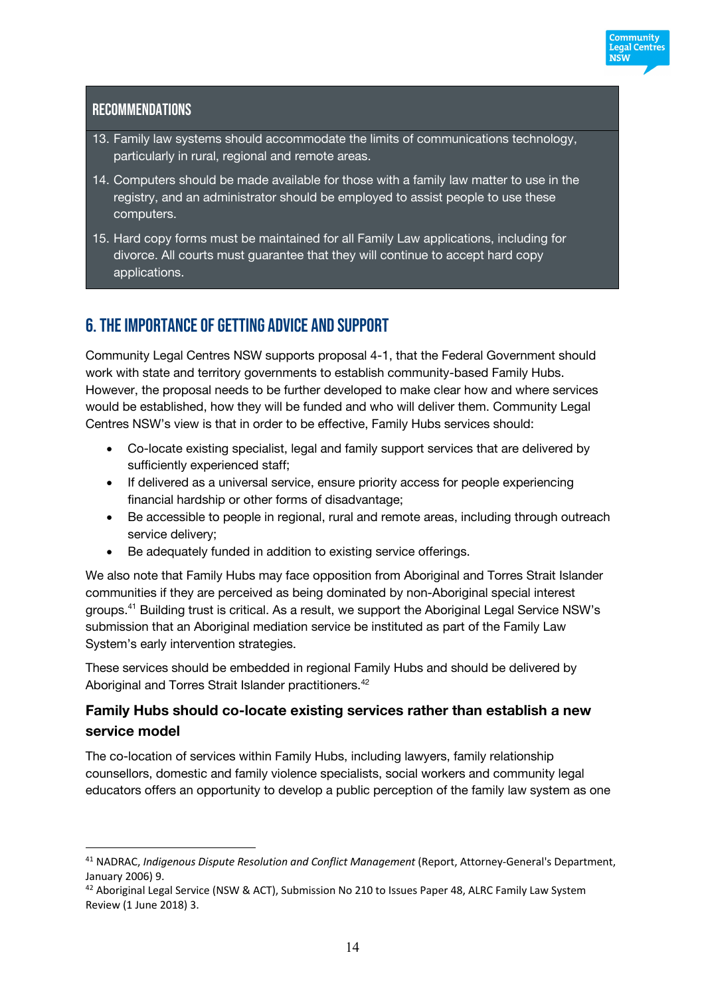

### **RECOMMENDATIONS**

 $\overline{a}$ 

- 13. Family law systems should accommodate the limits of communications technology, particularly in rural, regional and remote areas.
- 14. Computers should be made available for those with a family law matter to use in the registry, and an administrator should be employed to assist people to use these computers.
- 15. Hard copy forms must be maintained for all Family Law applications, including for divorce. All courts must guarantee that they will continue to accept hard copy applications.

# 6. The importance of GETTING ADVICE AND SUPPORT

Community Legal Centres NSW supports proposal 4-1, that the Federal Government should work with state and territory governments to establish community-based Family Hubs. However, the proposal needs to be further developed to make clear how and where services would be established, how they will be funded and who will deliver them. Community Legal Centres NSW's view is that in order to be effective, Family Hubs services should:

- Co-locate existing specialist, legal and family support services that are delivered by sufficiently experienced staff;
- If delivered as a universal service, ensure priority access for people experiencing financial hardship or other forms of disadvantage;
- Be accessible to people in regional, rural and remote areas, including through outreach service delivery;
- Be adequately funded in addition to existing service offerings.

We also note that Family Hubs may face opposition from Aboriginal and Torres Strait Islander communities if they are perceived as being dominated by non-Aboriginal special interest groups.41 Building trust is critical. As a result, we support the Aboriginal Legal Service NSW's submission that an Aboriginal mediation service be instituted as part of the Family Law System's early intervention strategies.

These services should be embedded in regional Family Hubs and should be delivered by Aboriginal and Torres Strait Islander practitioners.<sup>42</sup>

# **Family Hubs should co-locate existing services rather than establish a new service model**

The co-location of services within Family Hubs, including lawyers, family relationship counsellors, domestic and family violence specialists, social workers and community legal educators offers an opportunity to develop a public perception of the family law system as one

<sup>41</sup> NADRAC, *Indigenous Dispute Resolution and Conflict Management* (Report, Attorney-General's Department, January 2006) 9.

<sup>42</sup> Aboriginal Legal Service (NSW & ACT), Submission No 210 to Issues Paper 48, ALRC Family Law System Review (1 June 2018) 3.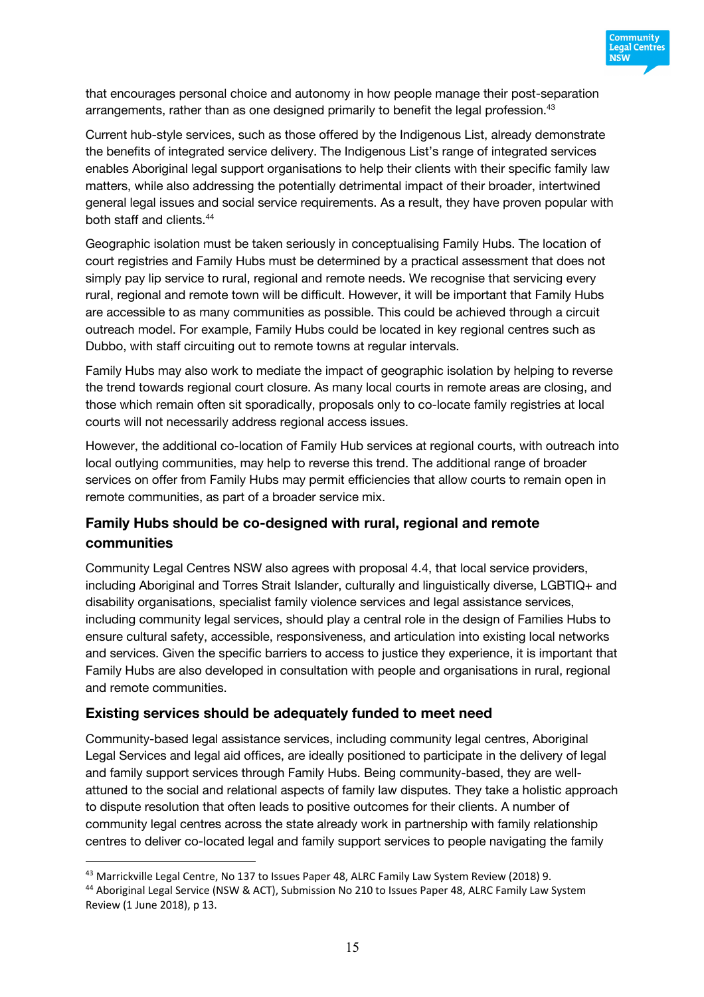

that encourages personal choice and autonomy in how people manage their post-separation arrangements, rather than as one designed primarily to benefit the legal profession.<sup>43</sup>

Current hub-style services, such as those offered by the Indigenous List, already demonstrate the benefits of integrated service delivery. The Indigenous List's range of integrated services enables Aboriginal legal support organisations to help their clients with their specific family law matters, while also addressing the potentially detrimental impact of their broader, intertwined general legal issues and social service requirements. As a result, they have proven popular with both staff and clients.44

Geographic isolation must be taken seriously in conceptualising Family Hubs. The location of court registries and Family Hubs must be determined by a practical assessment that does not simply pay lip service to rural, regional and remote needs. We recognise that servicing every rural, regional and remote town will be difficult. However, it will be important that Family Hubs are accessible to as many communities as possible. This could be achieved through a circuit outreach model. For example, Family Hubs could be located in key regional centres such as Dubbo, with staff circuiting out to remote towns at regular intervals.

Family Hubs may also work to mediate the impact of geographic isolation by helping to reverse the trend towards regional court closure. As many local courts in remote areas are closing, and those which remain often sit sporadically, proposals only to co-locate family registries at local courts will not necessarily address regional access issues.

However, the additional co-location of Family Hub services at regional courts, with outreach into local outlying communities, may help to reverse this trend. The additional range of broader services on offer from Family Hubs may permit efficiencies that allow courts to remain open in remote communities, as part of a broader service mix.

# **Family Hubs should be co-designed with rural, regional and remote communities**

Community Legal Centres NSW also agrees with proposal 4.4, that local service providers, including Aboriginal and Torres Strait Islander, culturally and linguistically diverse, LGBTIQ+ and disability organisations, specialist family violence services and legal assistance services, including community legal services, should play a central role in the design of Families Hubs to ensure cultural safety, accessible, responsiveness, and articulation into existing local networks and services. Given the specific barriers to access to justice they experience, it is important that Family Hubs are also developed in consultation with people and organisations in rural, regional and remote communities.

#### **Existing services should be adequately funded to meet need**

 $\overline{a}$ 

Community-based legal assistance services, including community legal centres, Aboriginal Legal Services and legal aid offices, are ideally positioned to participate in the delivery of legal and family support services through Family Hubs. Being community-based, they are wellattuned to the social and relational aspects of family law disputes. They take a holistic approach to dispute resolution that often leads to positive outcomes for their clients. A number of community legal centres across the state already work in partnership with family relationship centres to deliver co-located legal and family support services to people navigating the family

<sup>&</sup>lt;sup>43</sup> Marrickville Legal Centre, No 137 to Issues Paper 48, ALRC Family Law System Review (2018) 9.

<sup>44</sup> Aboriginal Legal Service (NSW & ACT), Submission No 210 to Issues Paper 48, ALRC Family Law System Review (1 June 2018), p 13.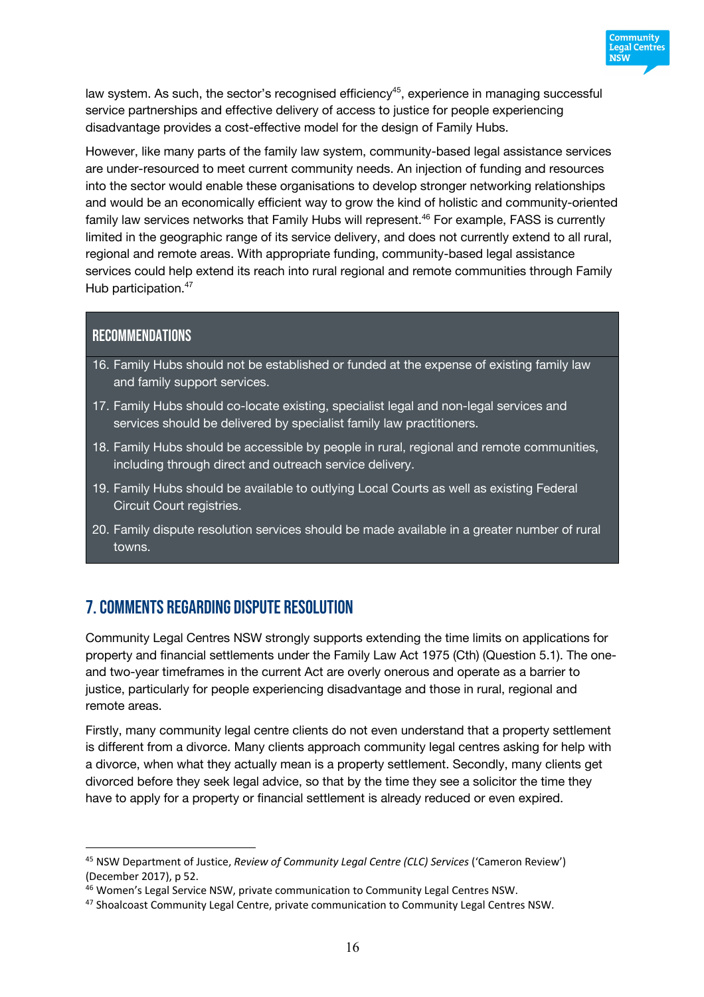

law system. As such, the sector's recognised efficiency<sup>45</sup>, experience in managing successful service partnerships and effective delivery of access to justice for people experiencing disadvantage provides a cost-effective model for the design of Family Hubs.

However, like many parts of the family law system, community-based legal assistance services are under-resourced to meet current community needs. An injection of funding and resources into the sector would enable these organisations to develop stronger networking relationships and would be an economically efficient way to grow the kind of holistic and community-oriented family law services networks that Family Hubs will represent.<sup>46</sup> For example, FASS is currently limited in the geographic range of its service delivery, and does not currently extend to all rural, regional and remote areas. With appropriate funding, community-based legal assistance services could help extend its reach into rural regional and remote communities through Family Hub participation.<sup>47</sup>

#### Recommendations

 $\overline{a}$ 

- 16. Family Hubs should not be established or funded at the expense of existing family law and family support services.
- 17. Family Hubs should co-locate existing, specialist legal and non-legal services and services should be delivered by specialist family law practitioners.
- 18. Family Hubs should be accessible by people in rural, regional and remote communities, including through direct and outreach service delivery.
- 19. Family Hubs should be available to outlying Local Courts as well as existing Federal Circuit Court registries.
- 20. Family dispute resolution services should be made available in a greater number of rural towns.

# 7. Comments regarding DISPUTE RESOLUTION

Community Legal Centres NSW strongly supports extending the time limits on applications for property and financial settlements under the Family Law Act 1975 (Cth) (Question 5.1). The oneand two-year timeframes in the current Act are overly onerous and operate as a barrier to justice, particularly for people experiencing disadvantage and those in rural, regional and remote areas.

Firstly, many community legal centre clients do not even understand that a property settlement is different from a divorce. Many clients approach community legal centres asking for help with a divorce, when what they actually mean is a property settlement. Secondly, many clients get divorced before they seek legal advice, so that by the time they see a solicitor the time they have to apply for a property or financial settlement is already reduced or even expired.

<sup>45</sup> NSW Department of Justice, *Review of Community Legal Centre (CLC) Services* ('Cameron Review') (December 2017), p 52.

<sup>46</sup> Women's Legal Service NSW, private communication to Community Legal Centres NSW.

<sup>47</sup> Shoalcoast Community Legal Centre, private communication to Community Legal Centres NSW.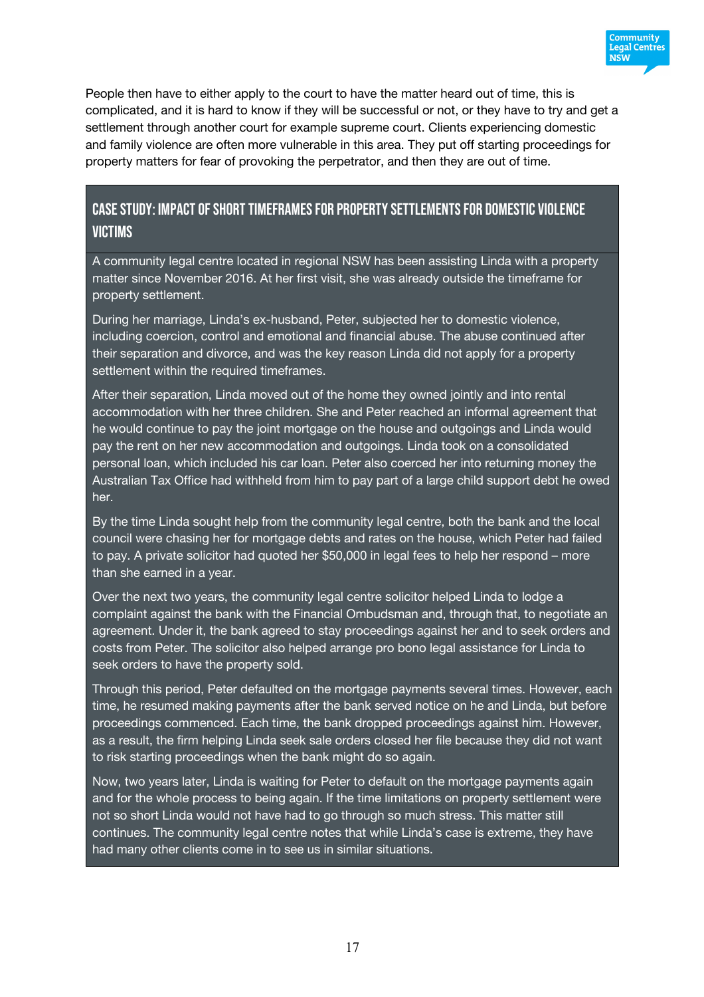

People then have to either apply to the court to have the matter heard out of time, this is complicated, and it is hard to know if they will be successful or not, or they have to try and get a settlement through another court for example supreme court. Clients experiencing domestic and family violence are often more vulnerable in this area. They put off starting proceedings for property matters for fear of provoking the perpetrator, and then they are out of time.

# Casestudy: impact of short timeframes for property settlementsfor Domestic violence **VICTIMS**

A community legal centre located in regional NSW has been assisting Linda with a property matter since November 2016. At her first visit, she was already outside the timeframe for property settlement.

During her marriage, Linda's ex-husband, Peter, subjected her to domestic violence, including coercion, control and emotional and financial abuse. The abuse continued after their separation and divorce, and was the key reason Linda did not apply for a property settlement within the required timeframes.

After their separation, Linda moved out of the home they owned jointly and into rental accommodation with her three children. She and Peter reached an informal agreement that he would continue to pay the joint mortgage on the house and outgoings and Linda would pay the rent on her new accommodation and outgoings. Linda took on a consolidated personal loan, which included his car loan. Peter also coerced her into returning money the Australian Tax Office had withheld from him to pay part of a large child support debt he owed her.

By the time Linda sought help from the community legal centre, both the bank and the local council were chasing her for mortgage debts and rates on the house, which Peter had failed to pay. A private solicitor had quoted her \$50,000 in legal fees to help her respond – more than she earned in a year.

Over the next two years, the community legal centre solicitor helped Linda to lodge a complaint against the bank with the Financial Ombudsman and, through that, to negotiate an agreement. Under it, the bank agreed to stay proceedings against her and to seek orders and costs from Peter. The solicitor also helped arrange pro bono legal assistance for Linda to seek orders to have the property sold.

Through this period, Peter defaulted on the mortgage payments several times. However, each time, he resumed making payments after the bank served notice on he and Linda, but before proceedings commenced. Each time, the bank dropped proceedings against him. However, as a result, the firm helping Linda seek sale orders closed her file because they did not want to risk starting proceedings when the bank might do so again.

Now, two years later, Linda is waiting for Peter to default on the mortgage payments again and for the whole process to being again. If the time limitations on property settlement were not so short Linda would not have had to go through so much stress. This matter still continues. The community legal centre notes that while Linda's case is extreme, they have had many other clients come in to see us in similar situations.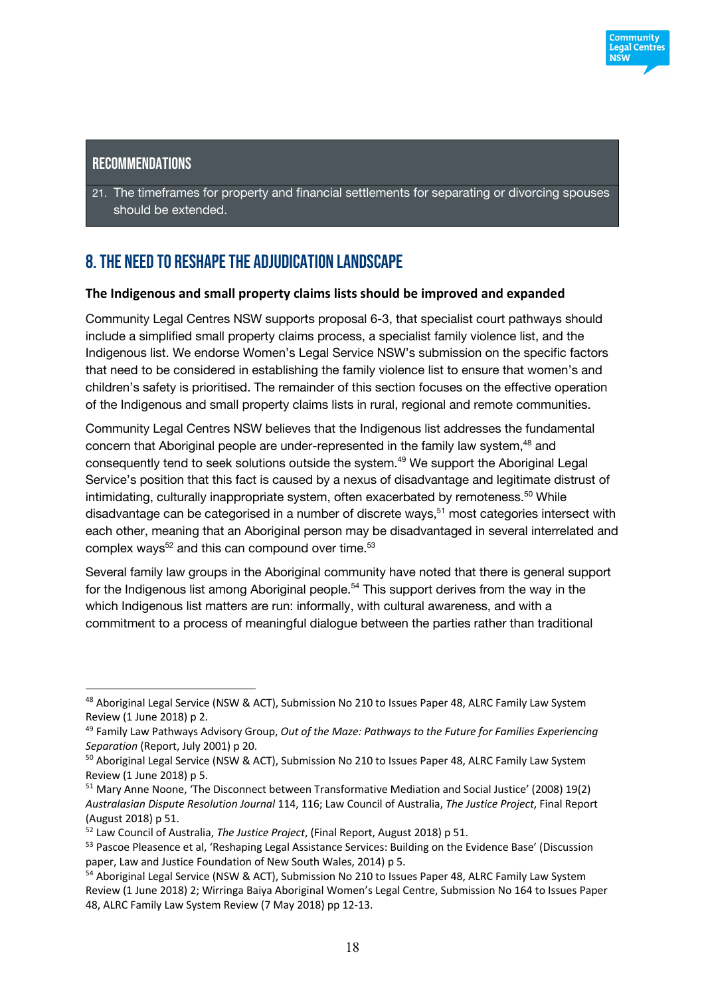### **RECOMMENDATIONS**

 $\overline{a}$ 

21. The timeframes for property and financial settlements for separating or divorcing spouses should be extended.

# 8. The need to RESHAPeTHE ADJUDICATION LANDSCAPE

#### **The Indigenous and small property claims lists should be improved and expanded**

Community Legal Centres NSW supports proposal 6-3, that specialist court pathways should include a simplified small property claims process, a specialist family violence list, and the Indigenous list. We endorse Women's Legal Service NSW's submission on the specific factors that need to be considered in establishing the family violence list to ensure that women's and children's safety is prioritised. The remainder of this section focuses on the effective operation of the Indigenous and small property claims lists in rural, regional and remote communities.

Community Legal Centres NSW believes that the Indigenous list addresses the fundamental concern that Aboriginal people are under-represented in the family law system,<sup>48</sup> and consequently tend to seek solutions outside the system.49 We support the Aboriginal Legal Service's position that this fact is caused by a nexus of disadvantage and legitimate distrust of intimidating, culturally inappropriate system, often exacerbated by remoteness.<sup>50</sup> While disadvantage can be categorised in a number of discrete ways,  $51$  most categories intersect with each other, meaning that an Aboriginal person may be disadvantaged in several interrelated and complex ways<sup>52</sup> and this can compound over time.<sup>53</sup>

Several family law groups in the Aboriginal community have noted that there is general support for the Indigenous list among Aboriginal people.<sup>54</sup> This support derives from the way in the which Indigenous list matters are run: informally, with cultural awareness, and with a commitment to a process of meaningful dialogue between the parties rather than traditional

<sup>48</sup> Aboriginal Legal Service (NSW & ACT), Submission No 210 to Issues Paper 48, ALRC Family Law System Review (1 June 2018) p 2.

<sup>49</sup> Family Law Pathways Advisory Group, *Out of the Maze: Pathways to the Future for Families Experiencing Separation* (Report, July 2001) p 20.

<sup>&</sup>lt;sup>50</sup> Aboriginal Legal Service (NSW & ACT), Submission No 210 to Issues Paper 48, ALRC Family Law System Review (1 June 2018) p 5.

<sup>51</sup> Mary Anne Noone, 'The Disconnect between Transformative Mediation and Social Justice' (2008) 19(2) *Australasian Dispute Resolution Journal* 114, 116; Law Council of Australia, *The Justice Project*, Final Report (August 2018) p 51.

<sup>52</sup> Law Council of Australia, *The Justice Project*, (Final Report, August 2018) p 51.

<sup>&</sup>lt;sup>53</sup> Pascoe Pleasence et al, 'Reshaping Legal Assistance Services: Building on the Evidence Base' (Discussion paper, Law and Justice Foundation of New South Wales, 2014) p 5.

<sup>54</sup> Aboriginal Legal Service (NSW & ACT), Submission No 210 to Issues Paper 48, ALRC Family Law System Review (1 June 2018) 2; Wirringa Baiya Aboriginal Women's Legal Centre, Submission No 164 to Issues Paper 48, ALRC Family Law System Review (7 May 2018) pp 12-13.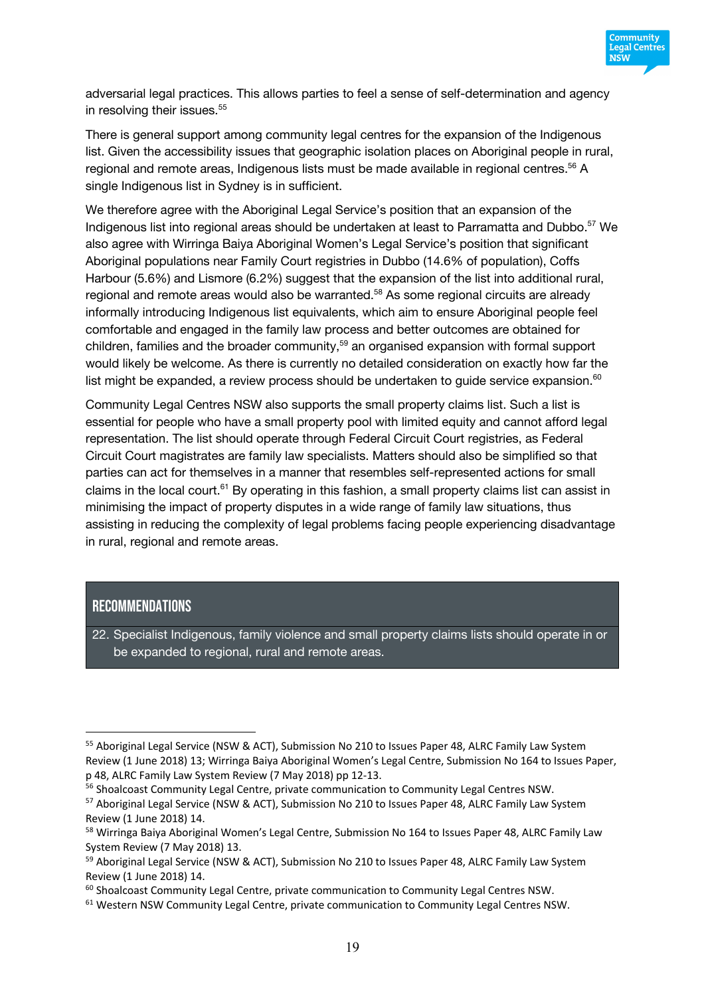

adversarial legal practices. This allows parties to feel a sense of self-determination and agency in resolving their issues.<sup>55</sup>

There is general support among community legal centres for the expansion of the Indigenous list. Given the accessibility issues that geographic isolation places on Aboriginal people in rural, regional and remote areas, Indigenous lists must be made available in regional centres.<sup>56</sup> A single Indigenous list in Sydney is in sufficient.

We therefore agree with the Aboriginal Legal Service's position that an expansion of the Indigenous list into regional areas should be undertaken at least to Parramatta and Dubbo. <sup>57</sup> We also agree with Wirringa Baiya Aboriginal Women's Legal Service's position that significant Aboriginal populations near Family Court registries in Dubbo (14.6% of population), Coffs Harbour (5.6%) and Lismore (6.2%) suggest that the expansion of the list into additional rural, regional and remote areas would also be warranted.<sup>58</sup> As some regional circuits are already informally introducing Indigenous list equivalents, which aim to ensure Aboriginal people feel comfortable and engaged in the family law process and better outcomes are obtained for children, families and the broader community,<sup>59</sup> an organised expansion with formal support would likely be welcome. As there is currently no detailed consideration on exactly how far the list might be expanded, a review process should be undertaken to guide service expansion. $60$ 

Community Legal Centres NSW also supports the small property claims list. Such a list is essential for people who have a small property pool with limited equity and cannot afford legal representation. The list should operate through Federal Circuit Court registries, as Federal Circuit Court magistrates are family law specialists. Matters should also be simplified so that parties can act for themselves in a manner that resembles self-represented actions for small claims in the local court.<sup>61</sup> By operating in this fashion, a small property claims list can assist in minimising the impact of property disputes in a wide range of family law situations, thus assisting in reducing the complexity of legal problems facing people experiencing disadvantage in rural, regional and remote areas.

#### Recommendations

 $\overline{a}$ 

22. Specialist Indigenous, family violence and small property claims lists should operate in or be expanded to regional, rural and remote areas.

<sup>55</sup> Aboriginal Legal Service (NSW & ACT), Submission No 210 to Issues Paper 48, ALRC Family Law System Review (1 June 2018) 13; Wirringa Baiya Aboriginal Women's Legal Centre, Submission No 164 to Issues Paper, p 48, ALRC Family Law System Review (7 May 2018) pp 12-13.

<sup>&</sup>lt;sup>56</sup> Shoalcoast Community Legal Centre, private communication to Community Legal Centres NSW.

<sup>57</sup> Aboriginal Legal Service (NSW & ACT), Submission No 210 to Issues Paper 48, ALRC Family Law System Review (1 June 2018) 14.

<sup>&</sup>lt;sup>58</sup> Wirringa Baiya Aboriginal Women's Legal Centre, Submission No 164 to Issues Paper 48, ALRC Family Law System Review (7 May 2018) 13.

<sup>59</sup> Aboriginal Legal Service (NSW & ACT), Submission No 210 to Issues Paper 48, ALRC Family Law System Review (1 June 2018) 14.

 $60$  Shoalcoast Community Legal Centre, private communication to Community Legal Centres NSW.

<sup>&</sup>lt;sup>61</sup> Western NSW Community Legal Centre, private communication to Community Legal Centres NSW.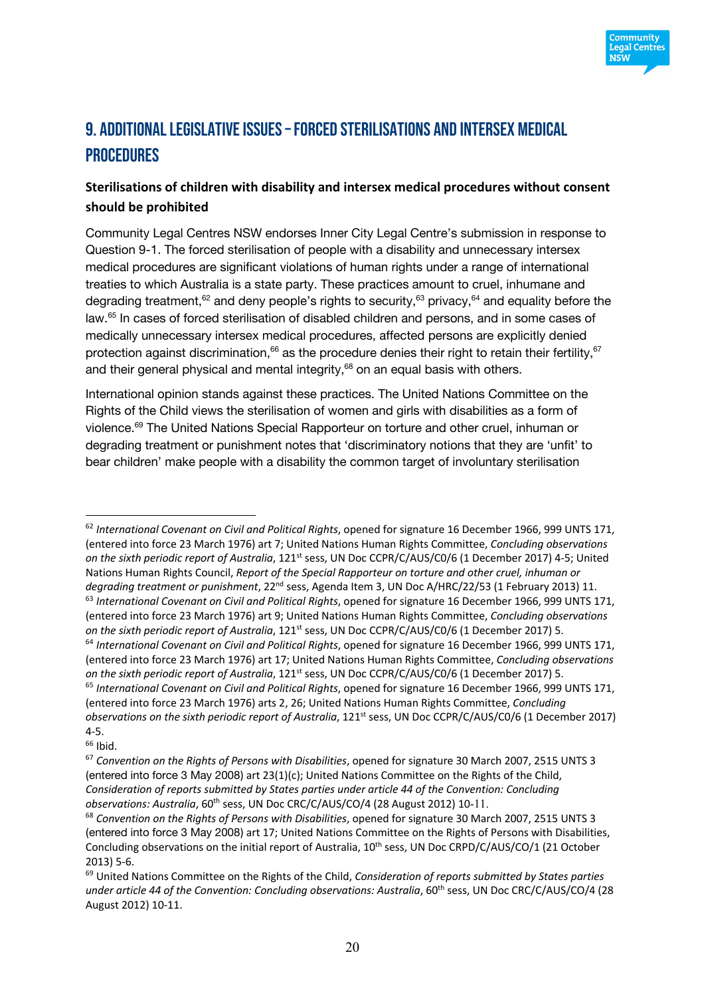

# 9. Additional legislative issues –forced sterilisations and intersex medical **PROCEDURES**

# **Sterilisations of children with disability and intersex medical procedures without consent should be prohibited**

Community Legal Centres NSW endorses Inner City Legal Centre's submission in response to Question 9-1. The forced sterilisation of people with a disability and unnecessary intersex medical procedures are significant violations of human rights under a range of international treaties to which Australia is a state party. These practices amount to cruel, inhumane and degrading treatment,<sup>62</sup> and deny people's rights to security,<sup>63</sup> privacy,<sup>64</sup> and equality before the law.65 In cases of forced sterilisation of disabled children and persons, and in some cases of medically unnecessary intersex medical procedures, affected persons are explicitly denied protection against discrimination, $66$  as the procedure denies their right to retain their fertility,  $67$ and their general physical and mental integrity, $68$  on an equal basis with others.

International opinion stands against these practices. The United Nations Committee on the Rights of the Child views the sterilisation of women and girls with disabilities as a form of violence.<sup>69</sup> The United Nations Special Rapporteur on torture and other cruel, inhuman or degrading treatment or punishment notes that 'discriminatory notions that they are 'unfit' to bear children' make people with a disability the common target of involuntary sterilisation

<sup>62</sup> *International Covenant on Civil and Political Rights*, opened for signature 16 December 1966, 999 UNTS 171, (entered into force 23 March 1976) art 7; United Nations Human Rights Committee, *Concluding observations on the sixth periodic report of Australia*, 121<sup>st</sup> sess, UN Doc CCPR/C/AUS/C0/6 (1 December 2017) 4-5; United Nations Human Rights Council, *Report of the Special Rapporteur on torture and other cruel, inhuman or degrading treatment or punishment*, 22nd sess, Agenda Item 3, UN Doc A/HRC/22/53 (1 February 2013) 11.

<sup>63</sup> *International Covenant on Civil and Political Rights*, opened for signature 16 December 1966, 999 UNTS 171, (entered into force 23 March 1976) art 9; United Nations Human Rights Committee, *Concluding observations on the sixth periodic report of Australia*, 121<sup>st</sup> sess, UN Doc CCPR/C/AUS/C0/6 (1 December 2017) 5. <sup>64</sup> *International Covenant on Civil and Political Rights*, opened for signature 16 December 1966, 999 UNTS 171, (entered into force 23 March 1976) art 17; United Nations Human Rights Committee, *Concluding observations on the sixth periodic report of Australia*, 121<sup>st</sup> sess, UN Doc CCPR/C/AUS/C0/6 (1 December 2017) 5. <sup>65</sup> *International Covenant on Civil and Political Rights*, opened for signature 16 December 1966, 999 UNTS 171, (entered into force 23 March 1976) arts 2, 26; United Nations Human Rights Committee, *Concluding observations on the sixth periodic report of Australia*, 121<sup>st</sup> sess, UN Doc CCPR/C/AUS/C0/6 (1 December 2017) 4-5.

 $66$  Ibid.

<sup>67</sup> *Convention on the Rights of Persons with Disabilities*, opened for signature 30 March 2007, 2515 UNTS 3 (entered into force 3 May 2008) art 23(1)(c); United Nations Committee on the Rights of the Child, *Consideration of reports submitted by States parties under article 44 of the Convention: Concluding observations: Australia, 60<sup>th</sup> sess, UN Doc CRC/C/AUS/CO/4 (28 August 2012) 10-11.* 

<sup>68</sup> *Convention on the Rights of Persons with Disabilities*, opened for signature 30 March 2007, 2515 UNTS 3 (entered into force 3 May 2008) art 17; United Nations Committee on the Rights of Persons with Disabilities, Concluding observations on the initial report of Australia, 10<sup>th</sup> sess, UN Doc CRPD/C/AUS/CO/1 (21 October 2013) 5-6.

<sup>69</sup> United Nations Committee on the Rights of the Child, *Consideration of reports submitted by States parties under article 44 of the Convention: Concluding observations: Australia*, 60th sess, UN Doc CRC/C/AUS/CO/4 (28 August 2012) 10-11.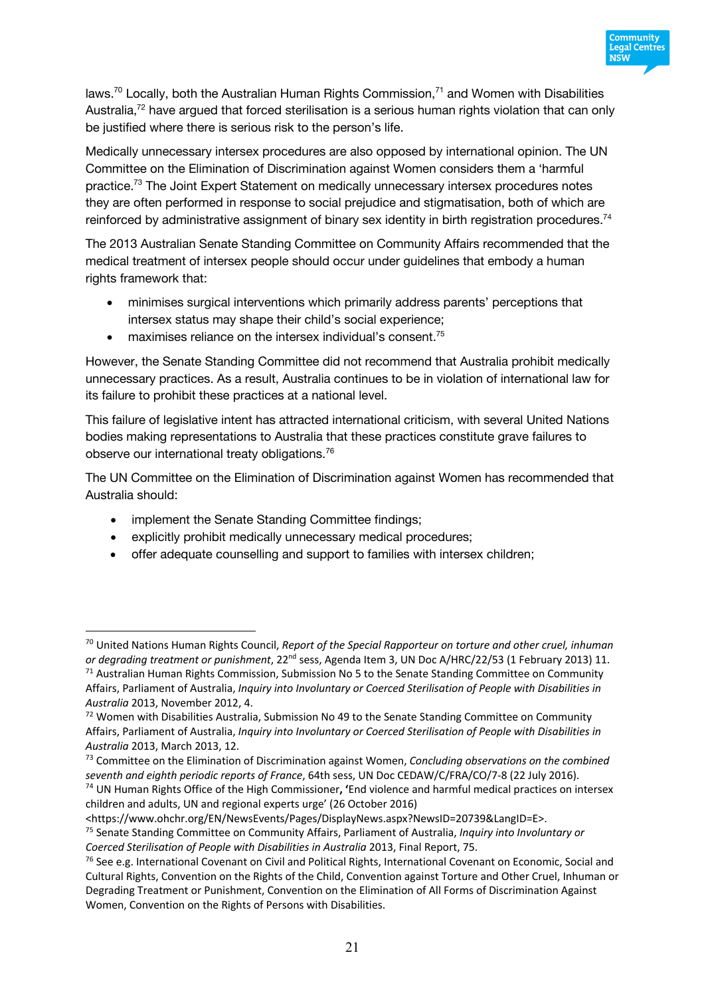

laws.<sup>70</sup> Locally, both the Australian Human Rights Commission,<sup>71</sup> and Women with Disabilities Australia,<sup>72</sup> have argued that forced sterilisation is a serious human rights violation that can only be justified where there is serious risk to the person's life.

Medically unnecessary intersex procedures are also opposed by international opinion. The UN Committee on the Elimination of Discrimination against Women considers them a 'harmful practice.73 The Joint Expert Statement on medically unnecessary intersex procedures notes they are often performed in response to social prejudice and stigmatisation, both of which are reinforced by administrative assignment of binary sex identity in birth registration procedures.<sup>74</sup>

The 2013 Australian Senate Standing Committee on Community Affairs recommended that the medical treatment of intersex people should occur under guidelines that embody a human rights framework that:

- minimises surgical interventions which primarily address parents' perceptions that intersex status may shape their child's social experience;
- $\bullet$  maximises reliance on the intersex individual's consent.<sup>75</sup>

However, the Senate Standing Committee did not recommend that Australia prohibit medically unnecessary practices. As a result, Australia continues to be in violation of international law for its failure to prohibit these practices at a national level.

This failure of legislative intent has attracted international criticism, with several United Nations bodies making representations to Australia that these practices constitute grave failures to observe our international treaty obligations.76

The UN Committee on the Elimination of Discrimination against Women has recommended that Australia should:

• implement the Senate Standing Committee findings;

- explicitly prohibit medically unnecessary medical procedures;
- offer adequate counselling and support to families with intersex children;

<sup>70</sup> United Nations Human Rights Council, *Report of the Special Rapporteur on torture and other cruel, inhuman* 

*or degrading treatment or punishment*, 22<sup>nd</sup> sess, Agenda Item 3, UN Doc A/HRC/22/53 (1 February 2013) 11.<br><sup>71</sup> Australian Human Rights Commission, Submission No 5 to the Senate Standing Committee on Community Affairs, Parliament of Australia, *Inquiry into Involuntary or Coerced Sterilisation of People with Disabilities in Australia* 2013, November 2012, 4.

 $72$  Women with Disabilities Australia, Submission No 49 to the Senate Standing Committee on Community Affairs, Parliament of Australia, *Inquiry into Involuntary or Coerced Sterilisation of People with Disabilities in Australia* 2013, March 2013, 12.

<sup>73</sup> Committee on the Elimination of Discrimination against Women, *Concluding observations on the combined seventh and eighth periodic reports of France*, 64th sess, UN Doc CEDAW/C/FRA/CO/7-8 (22 July 2016).

<sup>74</sup> UN Human Rights Office of the High Commissioner**, '**End violence and harmful medical practices on intersex children and adults, UN and regional experts urge' (26 October 2016)

<sup>&</sup>lt;https://www.ohchr.org/EN/NewsEvents/Pages/DisplayNews.aspx?NewsID=20739&LangID=E>.

<sup>75</sup> Senate Standing Committee on Community Affairs, Parliament of Australia, *Inquiry into Involuntary or Coerced Sterilisation of People with Disabilities in Australia* 2013, Final Report, 75.

 $76$  See e.g. International Covenant on Civil and Political Rights, International Covenant on Economic, Social and Cultural Rights, Convention on the Rights of the Child, Convention against Torture and Other Cruel, Inhuman or Degrading Treatment or Punishment, Convention on the Elimination of All Forms of Discrimination Against Women, Convention on the Rights of Persons with Disabilities.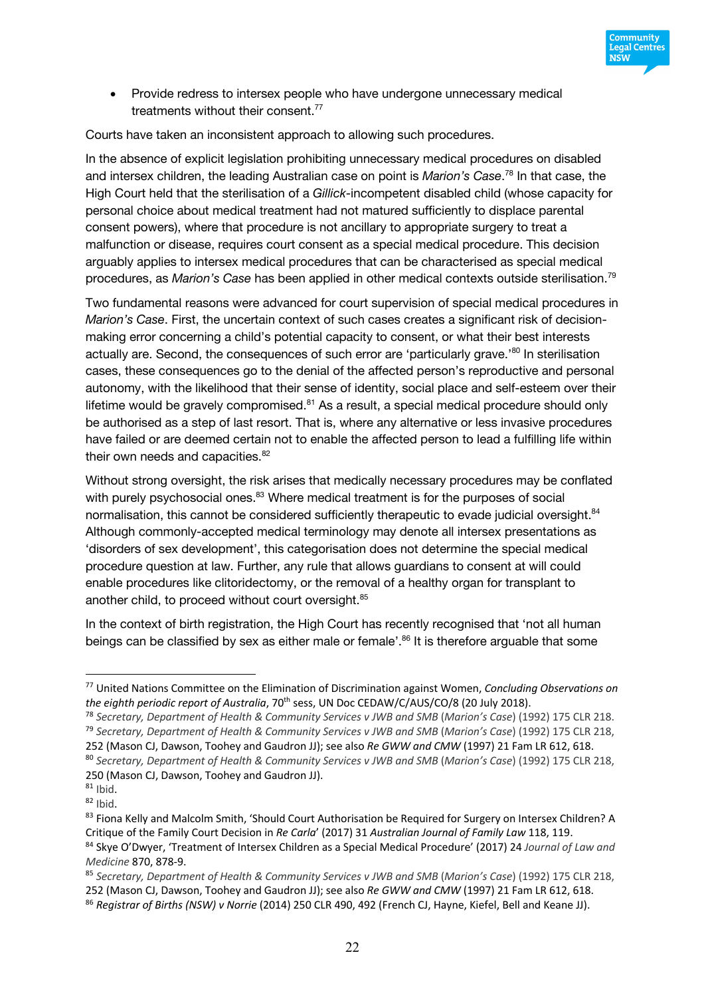

• Provide redress to intersex people who have undergone unnecessary medical treatments without their consent. 77

Courts have taken an inconsistent approach to allowing such procedures.

In the absence of explicit legislation prohibiting unnecessary medical procedures on disabled and intersex children, the leading Australian case on point is *Marion's Case*. <sup>78</sup> In that case, the High Court held that the sterilisation of a *Gillick*-incompetent disabled child (whose capacity for personal choice about medical treatment had not matured sufficiently to displace parental consent powers), where that procedure is not ancillary to appropriate surgery to treat a malfunction or disease, requires court consent as a special medical procedure. This decision arguably applies to intersex medical procedures that can be characterised as special medical procedures, as *Marion's Case* has been applied in other medical contexts outside sterilisation. 79

Two fundamental reasons were advanced for court supervision of special medical procedures in *Marion's Case*. First, the uncertain context of such cases creates a significant risk of decisionmaking error concerning a child's potential capacity to consent, or what their best interests actually are. Second, the consequences of such error are 'particularly grave.'80 In sterilisation cases, these consequences go to the denial of the affected person's reproductive and personal autonomy, with the likelihood that their sense of identity, social place and self-esteem over their lifetime would be gravely compromised. $81$  As a result, a special medical procedure should only be authorised as a step of last resort. That is, where any alternative or less invasive procedures have failed or are deemed certain not to enable the affected person to lead a fulfilling life within their own needs and capacities.<sup>82</sup>

Without strong oversight, the risk arises that medically necessary procedures may be conflated with purely psychosocial ones.<sup>83</sup> Where medical treatment is for the purposes of social normalisation, this cannot be considered sufficiently therapeutic to evade judicial oversight.<sup>84</sup> Although commonly-accepted medical terminology may denote all intersex presentations as 'disorders of sex development', this categorisation does not determine the special medical procedure question at law. Further, any rule that allows guardians to consent at will could enable procedures like clitoridectomy, or the removal of a healthy organ for transplant to another child, to proceed without court oversight.<sup>85</sup>

In the context of birth registration, the High Court has recently recognised that 'not all human beings can be classified by sex as either male or female'. <sup>86</sup> It is therefore arguable that some

<sup>77</sup> United Nations Committee on the Elimination of Discrimination against Women, *Concluding Observations on the eighth periodic report of Australia*, 70th sess, UN Doc CEDAW/C/AUS/CO/8 (20 July 2018).

<sup>78</sup> *Secretary, Department of Health & Community Services v JWB and SMB* (*Marion's Case*) (1992) 175 CLR 218. <sup>79</sup> *Secretary, Department of Health & Community Services v JWB and SMB* (*Marion's Case*) (1992) 175 CLR 218, 252 (Mason CJ, Dawson, Toohey and Gaudron JJ); see also *Re GWW and CMW* (1997) 21 Fam LR 612, 618. <sup>80</sup> *Secretary, Department of Health & Community Services v JWB and SMB* (*Marion's Case*) (1992) 175 CLR 218, 250 (Mason CJ, Dawson, Toohey and Gaudron JJ).

 $81$  Ihid.

 $82$  Ibid.

<sup>83</sup> Fiona Kelly and Malcolm Smith, 'Should Court Authorisation be Required for Surgery on Intersex Children? A Critique of the Family Court Decision in *Re Carla*' (2017) 31 *Australian Journal of Family Law* 118, 119. <sup>84</sup> Skye O'Dwyer, 'Treatment of Intersex Children as a Special Medical Procedure' (2017) 24 *Journal of Law and Medicine* 870, 878-9.

<sup>85</sup> *Secretary, Department of Health & Community Services v JWB and SMB* (*Marion's Case*) (1992) 175 CLR 218, 252 (Mason CJ, Dawson, Toohey and Gaudron JJ); see also *Re GWW and CMW* (1997) 21 Fam LR 612, 618.

<sup>86</sup> *Registrar of Births (NSW) v Norrie* (2014) 250 CLR 490, 492 (French CJ, Hayne, Kiefel, Bell and Keane JJ).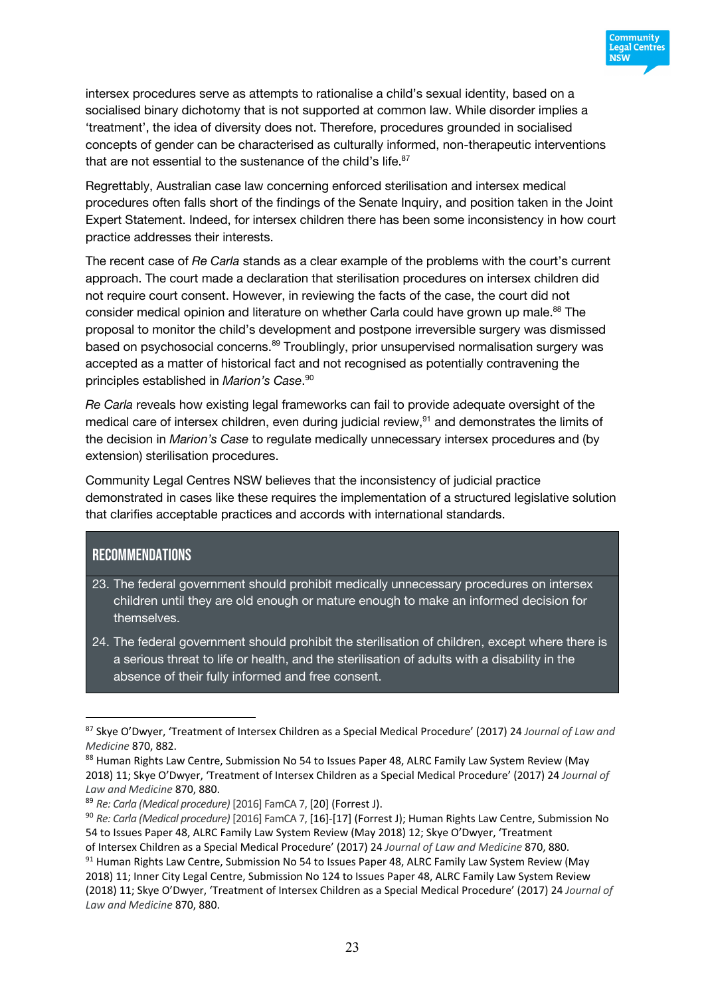

intersex procedures serve as attempts to rationalise a child's sexual identity, based on a socialised binary dichotomy that is not supported at common law. While disorder implies a 'treatment', the idea of diversity does not. Therefore, procedures grounded in socialised concepts of gender can be characterised as culturally informed, non-therapeutic interventions that are not essential to the sustenance of the child's life.<sup>87</sup>

Regrettably, Australian case law concerning enforced sterilisation and intersex medical procedures often falls short of the findings of the Senate Inquiry, and position taken in the Joint Expert Statement. Indeed, for intersex children there has been some inconsistency in how court practice addresses their interests.

The recent case of *Re Carla* stands as a clear example of the problems with the court's current approach. The court made a declaration that sterilisation procedures on intersex children did not require court consent. However, in reviewing the facts of the case, the court did not consider medical opinion and literature on whether Carla could have grown up male.<sup>88</sup> The proposal to monitor the child's development and postpone irreversible surgery was dismissed based on psychosocial concerns.<sup>89</sup> Troublingly, prior unsupervised normalisation surgery was accepted as a matter of historical fact and not recognised as potentially contravening the principles established in *Marion's Case*. 90

*Re Carla* reveals how existing legal frameworks can fail to provide adequate oversight of the medical care of intersex children, even during judicial review,91 and demonstrates the limits of the decision in *Marion's Case* to regulate medically unnecessary intersex procedures and (by extension) sterilisation procedures.

Community Legal Centres NSW believes that the inconsistency of judicial practice demonstrated in cases like these requires the implementation of a structured legislative solution that clarifies acceptable practices and accords with international standards.

### Recommendations

- 23. The federal government should prohibit medically unnecessary procedures on intersex children until they are old enough or mature enough to make an informed decision for themselves.
- 24. The federal government should prohibit the sterilisation of children, except where there is a serious threat to life or health, and the sterilisation of adults with a disability in the absence of their fully informed and free consent.

<sup>87</sup> Skye O'Dwyer, 'Treatment of Intersex Children as a Special Medical Procedure' (2017) 24 *Journal of Law and Medicine* 870, 882.

<sup>88</sup> Human Rights Law Centre, Submission No 54 to Issues Paper 48, ALRC Family Law System Review (May 2018) 11; Skye O'Dwyer, 'Treatment of Intersex Children as a Special Medical Procedure' (2017) 24 *Journal of Law and Medicine* 870, 880.

<sup>89</sup> *Re: Carla (Medical procedure)* [2016] FamCA 7, [20] (Forrest J).

<sup>90</sup> *Re: Carla (Medical procedure)* [2016] FamCA 7, [16]-[17] (Forrest J); Human Rights Law Centre, Submission No 54 to Issues Paper 48, ALRC Family Law System Review (May 2018) 12; Skye O'Dwyer, 'Treatment

of Intersex Children as a Special Medical Procedure' (2017) 24 *Journal of Law and Medicine* 870, 880. 91 Human Rights Law Centre, Submission No 54 to Issues Paper 48, ALRC Family Law System Review (May 2018) 11; Inner City Legal Centre, Submission No 124 to Issues Paper 48, ALRC Family Law System Review (2018) 11; Skye O'Dwyer, 'Treatment of Intersex Children as a Special Medical Procedure' (2017) 24 *Journal of Law and Medicine* 870, 880.